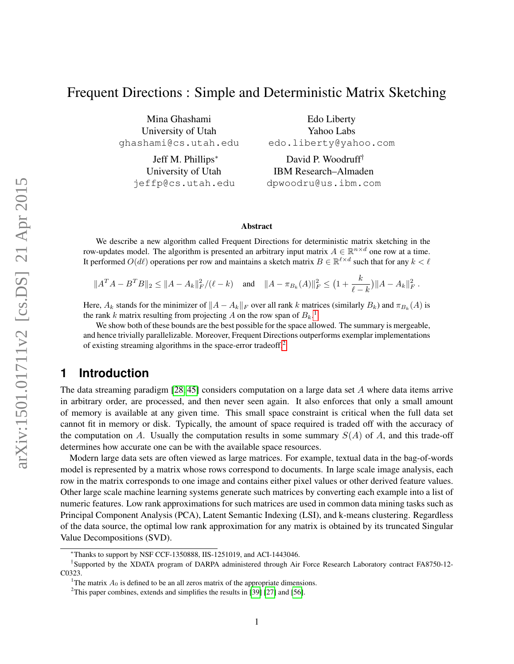# Frequent Directions : Simple and Deterministic Matrix Sketching

Mina Ghashami University of Utah ghashami@cs.utah.edu

> Jeff M. Phillips<sup>∗</sup> University of Utah jeffp@cs.utah.edu

Edo Liberty Yahoo Labs edo.liberty@yahoo.com

David P. Woodruff† IBM Research–Almaden dpwoodru@us.ibm.com

#### Abstract

We describe a new algorithm called Frequent Directions for deterministic matrix sketching in the row-updates model. The algorithm is presented an arbitrary input matrix  $A \in \mathbb{R}^{n \times d}$  one row at a time. It performed  $O(d\ell)$  operations per row and maintains a sketch matrix  $B \in \mathbb{R}^{\ell \times d}$  such that for any  $k < \ell$ 

$$
||A^T A - B^T B||_2 \le ||A - A_k||_F^2 / (\ell - k) \quad \text{and} \quad ||A - \pi_{B_k}(A)||_F^2 \le \left(1 + \frac{k}{\ell - k}\right) ||A - A_k||_F^2.
$$

Here,  $A_k$  stands for the minimizer of  $||A - A_k||_F$  over all rank k matrices (similarly  $B_k$ ) and  $\pi_{B_k}(A)$  is the rank k matrix resulting from projecting A on the row span of  $B_k$ .<sup>[1](#page-0-0)</sup>

We show both of these bounds are the best possible for the space allowed. The summary is mergeable, and hence trivially parallelizable. Moreover, Frequent Directions outperforms exemplar implementations of existing streaming algorithms in the space-error tradeoff.[2](#page-0-1)

### **1 Introduction**

The data streaming paradigm [\[28,](#page-26-0) [45\]](#page-27-0) considers computation on a large data set A where data items arrive in arbitrary order, are processed, and then never seen again. It also enforces that only a small amount of memory is available at any given time. This small space constraint is critical when the full data set cannot fit in memory or disk. Typically, the amount of space required is traded off with the accuracy of the computation on A. Usually the computation results in some summary  $S(A)$  of A, and this trade-off determines how accurate one can be with the available space resources.

Modern large data sets are often viewed as large matrices. For example, textual data in the bag-of-words model is represented by a matrix whose rows correspond to documents. In large scale image analysis, each row in the matrix corresponds to one image and contains either pixel values or other derived feature values. Other large scale machine learning systems generate such matrices by converting each example into a list of numeric features. Low rank approximations for such matrices are used in common data mining tasks such as Principal Component Analysis (PCA), Latent Semantic Indexing (LSI), and k-means clustering. Regardless of the data source, the optimal low rank approximation for any matrix is obtained by its truncated Singular Value Decompositions (SVD).

<sup>∗</sup>Thanks to support by NSF CCF-1350888, IIS-1251019, and ACI-1443046.

<sup>†</sup> Supported by the XDATA program of DARPA administered through Air Force Research Laboratory contract FA8750-12- C0323.

<span id="page-0-0"></span><sup>&</sup>lt;sup>1</sup>The matrix  $A_0$  is defined to be an all zeros matrix of the appropriate dimensions.

<span id="page-0-1"></span><sup>&</sup>lt;sup>2</sup>This paper combines, extends and simplifies the results in [\[39\]](#page-26-1) [\[27\]](#page-26-2) and [\[56\]](#page-27-1).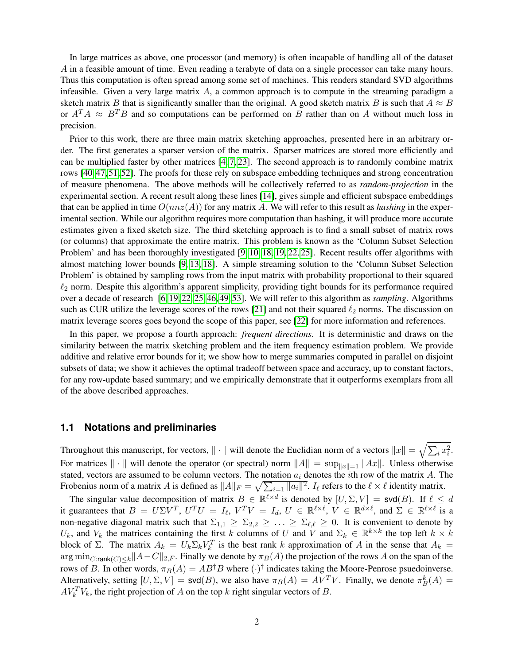In large matrices as above, one processor (and memory) is often incapable of handling all of the dataset A in a feasible amount of time. Even reading a terabyte of data on a single processor can take many hours. Thus this computation is often spread among some set of machines. This renders standard SVD algorithms infeasible. Given a very large matrix  $A$ , a common approach is to compute in the streaming paradigm a sketch matrix B that is significantly smaller than the original. A good sketch matrix B is such that  $A \approx B$ or  $A^T A \approx B^T B$  and so computations can be performed on B rather than on A without much loss in precision.

Prior to this work, there are three main matrix sketching approaches, presented here in an arbitrary order. The first generates a sparser version of the matrix. Sparser matrices are stored more efficiently and can be multiplied faster by other matrices [\[4,](#page-24-0) [7,](#page-24-1) [23\]](#page-25-0). The second approach is to randomly combine matrix rows [\[40,](#page-26-3) [47,](#page-27-2) [51,](#page-27-3) [52\]](#page-27-4). The proofs for these rely on subspace embedding techniques and strong concentration of measure phenomena. The above methods will be collectively referred to as *random-projection* in the experimental section. A recent result along these lines [\[14\]](#page-25-1), gives simple and efficient subspace embeddings that can be applied in time  $O(nnz(A))$  for any matrix A. We will refer to this result as *hashing* in the experimental section. While our algorithm requires more computation than hashing, it will produce more accurate estimates given a fixed sketch size. The third sketching approach is to find a small subset of matrix rows (or columns) that approximate the entire matrix. This problem is known as the 'Column Subset Selection Problem' and has been thoroughly investigated [\[9,](#page-24-2) [10,](#page-25-2) [18,](#page-25-3) [19,](#page-25-4) [22,](#page-25-5) [25\]](#page-25-6). Recent results offer algorithms with almost matching lower bounds [\[9,](#page-24-2) [13,](#page-25-7) [18\]](#page-25-3). A simple streaming solution to the 'Column Subset Selection Problem' is obtained by sampling rows from the input matrix with probability proportional to their squared  $\ell_2$  norm. Despite this algorithm's apparent simplicity, providing tight bounds for its performance required over a decade of research [\[6,](#page-24-3) [19,](#page-25-4) [22,](#page-25-5) [25,](#page-25-6) [46,](#page-27-5) [49,](#page-27-6) [53\]](#page-27-7). We will refer to this algorithm as *sampling*. Algorithms such as CUR utilize the leverage scores of the rows [\[21\]](#page-25-8) and not their squared  $\ell_2$  norms. The discussion on matrix leverage scores goes beyond the scope of this paper, see [\[22\]](#page-25-5) for more information and references.

In this paper, we propose a fourth approach: *frequent directions*. It is deterministic and draws on the similarity between the matrix sketching problem and the item frequency estimation problem. We provide additive and relative error bounds for it; we show how to merge summaries computed in parallel on disjoint subsets of data; we show it achieves the optimal tradeoff between space and accuracy, up to constant factors, for any row-update based summary; and we empirically demonstrate that it outperforms exemplars from all of the above described approaches.

### **1.1 Notations and preliminaries**

Throughout this manuscript, for vectors,  $\|\cdot\|$  will denote the Euclidian norm of a vectors  $\|x\| = \sqrt{\sum_i x_i^2}$ . For matrices  $\|\cdot\|$  will denote the operator (or spectral) norm  $\|A\| = \sup_{\|x\|=1} \|Ax\|$ . Unless otherwise stated, vectors are assumed to be column vectors. The notation  $a_i$  denotes the *i*th row of the matrix A. The Frobenius norm of a matrix A is defined as  $||A||_F = \sqrt{\sum_{i=1} ||a_i||^2}$ .  $I_\ell$  refers to the  $\ell \times \ell$  identity matrix.

The singular value decomposition of matrix  $B \in \mathbb{R}^{\ell \times d}$  is denoted by  $[U, \Sigma, V] = \text{svd}(B)$ . If  $\ell \leq d$ it guarantees that  $B = U\Sigma V^T$ ,  $U^TU = I_{\ell}$ ,  $V^TV = I_d$ ,  $U \in \mathbb{R}^{\ell \times \ell}$ ,  $V \in \mathbb{R}^{d \times \ell}$ , and  $\Sigma \in \mathbb{R}^{\ell \times \ell}$  is a non-negative diagonal matrix such that  $\Sigma_{1,1} \geq \Sigma_{2,2} \geq \ldots \geq \Sigma_{\ell,\ell} \geq 0$ . It is convenient to denote by  $U_k$ , and  $V_k$  the matrices containing the first k columns of U and V and  $\Sigma_k \in \mathbb{R}^{k \times k}$  the top left  $k \times k$ block of Σ. The matrix  $A_k = U_k \Sigma_k V_k^T$  is the best rank k approximation of A in the sense that  $A_k =$  $\arg \min_{C:\text{rank}(C) < k} \|A-C\|_{2,F}$ . Finally we denote by  $\pi_B(A)$  the projection of the rows A on the span of the rows of B. In other words,  $\pi_B(A) = AB^{\dagger}B$  where  $(\cdot)^{\dagger}$  indicates taking the Moore-Penrose psuedoinverse. Alternatively, setting  $[U, \Sigma, V] = \text{svd}(B)$ , we also have  $\pi_B(A) = AV^T V$ . Finally, we denote  $\pi_B^k(A) =$  $AV_k^T V_k$ , the right projection of A on the top k right singular vectors of B.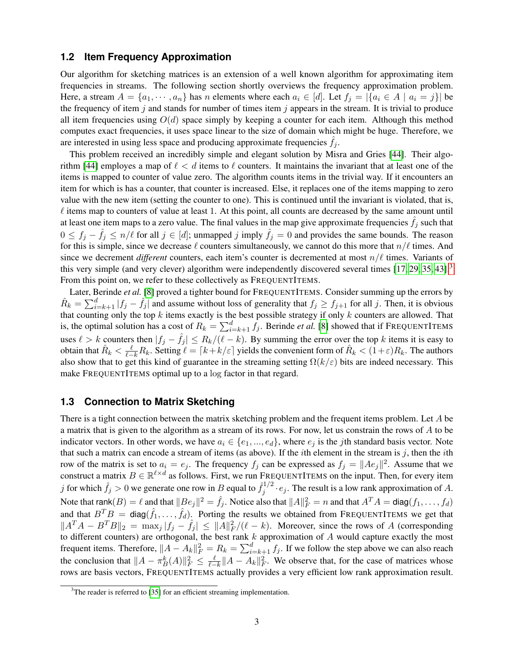### **1.2 Item Frequency Approximation**

Our algorithm for sketching matrices is an extension of a well known algorithm for approximating item frequencies in streams. The following section shortly overviews the frequency approximation problem. Here, a stream  $A = \{a_1, \dots, a_n\}$  has n elements where each  $a_i \in [d]$ . Let  $f_j = |\{a_i \in A \mid a_i = j\}|$  be the frequency of item j and stands for number of times item j appears in the stream. It is trivial to produce all item frequencies using  $O(d)$  space simply by keeping a counter for each item. Although this method computes exact frequencies, it uses space linear to the size of domain which might be huge. Therefore, we are interested in using less space and producing approximate frequencies  $f_i$ .

This problem received an incredibly simple and elegant solution by Misra and Gries [\[44\]](#page-26-4). Their algo-rithm [\[44\]](#page-26-4) employes a map of  $\ell < d$  items to  $\ell$  counters. It maintains the invariant that at least one of the items is mapped to counter of value zero. The algorithm counts items in the trivial way. If it encounters an item for which is has a counter, that counter is increased. Else, it replaces one of the items mapping to zero value with the new item (setting the counter to one). This is continued until the invariant is violated, that is,  $\ell$  items map to counters of value at least 1. At this point, all counts are decreased by the same amount until at least one item maps to a zero value. The final values in the map give approximate frequencies  $f_i$  such that  $0 \le f_j - \hat{f}_j \le n/\ell$  for all  $j \in [d]$ ; unmapped j imply  $\hat{f}_j = 0$  and provides the same bounds. The reason for this is simple, since we decrease  $\ell$  counters simultaneously, we cannot do this more that  $n/\ell$  times. And since we decrement *different* counters, each item's counter is decremented at most  $n/\ell$  times. Variants of this very simple (and very clever) algorithm were independently discovered several times [\[17,](#page-25-9) [29,](#page-26-5) [35,](#page-26-6) [43\]](#page-26-7).[3](#page-2-0) From this point on, we refer to these collectively as FREQUENTITEMS.

Later, Berinde *et al.* [\[8\]](#page-24-4) proved a tighter bound for FREQUENTITEMS. Consider summing up the errors by  $\hat{R}_k = \sum_{i=k+1}^d |f_j - \hat{f}_j|$  and assume without loss of generality that  $f_j \ge f_{j+1}$  for all j. Then, it is obvious that counting only the top  $k$  items exactly is the best possible strategy if only  $k$  counters are allowed. That is, the optimal solution has a cost of  $R_k = \sum_{i=k+1}^d f_j$ . Berinde *et al.* [\[8\]](#page-24-4) showed that if FREQUENTITEMS uses  $\ell > k$  counters then  $|f_j - \hat{f}_j| \leq R_k/(\ell - k)$ . By summing the error over the top k items it is easy to obtain that  $\hat{R}_k < \frac{\ell}{\ell - k} R_k$ . Setting  $\ell = \lceil k + k/\varepsilon \rceil$  yields the convenient form of  $\hat{R}_k < (1 + \varepsilon)R_k$ . The authors also show that to get this kind of guarantee in the streaming setting  $\Omega(k/\varepsilon)$  bits are indeed necessary. This make FREQUENTITEMS optimal up to a log factor in that regard.

#### **1.3 Connection to Matrix Sketching**

There is a tight connection between the matrix sketching problem and the frequent items problem. Let A be a matrix that is given to the algorithm as a stream of its rows. For now, let us constrain the rows of A to be indicator vectors. In other words, we have  $a_i \in \{e_1, ..., e_d\}$ , where  $e_j$  is the jth standard basis vector. Note that such a matrix can encode a stream of items (as above). If the *i*th element in the stream is  $j$ , then the *i*th row of the matrix is set to  $a_i = e_j$ . The frequency  $f_j$  can be expressed as  $f_j = ||Ae_j||^2$ . Assume that we construct a matrix  $B \in \mathbb{R}^{\ell \times d}$  as follows. First, we run FREQUENTITEMS on the input. Then, for every item j for which  $\hat{f}_j > 0$  we generate one row in B equal to  $\hat{f}_j^{1/2}$  $j^{1/2} \cdot e_j$ . The result is a low rank approximation of A. Note that  $rank(B) = \ell$  and that  $||Be_j||^2 = \hat{f}_j$ . Notice also that  $||A||_F^2 = n$  and that  $A^T A = diag(f_1, \ldots, f_d)$ and that  $B^T B = \text{diag}(\hat{f}_1, \dots, \hat{f}_d)$ . Porting the results we obtained from FREQUENTITEMS we get that  $||A^T A - B^T B||_2 = \max_j |f_j - \hat{f}_j| \le ||A||_F^2/(\ell - k)$ . Moreover, since the rows of A (corresponding to different counters) are orthogonal, the best rank k approximation of A would capture exactly the most frequent items. Therefore,  $||A - A_k||_F^2 = R_k = \sum_{i=k+1}^d f_j$ . If we follow the step above we can also reach the conclusion that  $||A - \pi_B^k(A)||_F^2 \leq \frac{\ell}{\ell - k} ||A - A_k||_F^2$ . We observe that, for the case of matrices whose rows are basis vectors, FREQUENTITEMS actually provides a very efficient low rank approximation result.

<span id="page-2-0"></span> $3$ The reader is referred to [\[35\]](#page-26-6) for an efficient streaming implementation.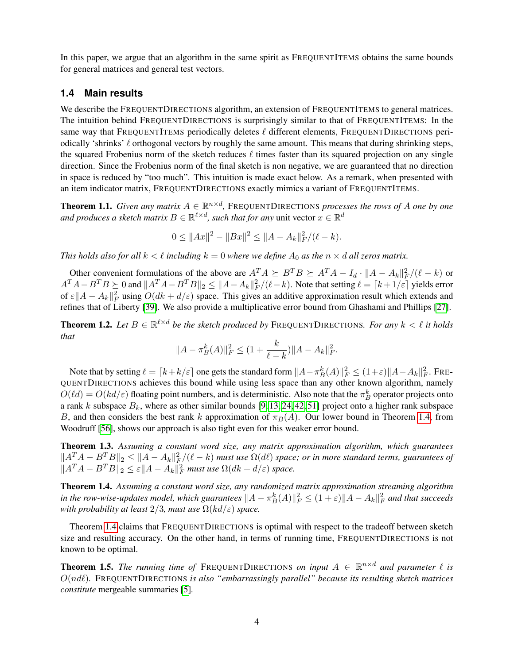In this paper, we argue that an algorithm in the same spirit as FREQUENTITEMS obtains the same bounds for general matrices and general test vectors.

### **1.4 Main results**

We describe the FREQUENTDIRECTIONS algorithm, an extension of FREQUENTITEMS to general matrices. The intuition behind FREQUENTDIRECTIONS is surprisingly similar to that of FREQUENTITEMS: In the same way that FREQUENTITEMS periodically deletes  $\ell$  different elements, FREQUENTDIRECTIONS periodically 'shrinks'  $\ell$  orthogonal vectors by roughly the same amount. This means that during shrinking steps, the squared Frobenius norm of the sketch reduces  $\ell$  times faster than its squared projection on any single direction. Since the Frobenius norm of the final sketch is non negative, we are guaranteed that no direction in space is reduced by "too much". This intuition is made exact below. As a remark, when presented with an item indicator matrix, FREQUENTDIRECTIONS exactly mimics a variant of FREQUENTITEMS.

<span id="page-3-1"></span>**Theorem 1.1.** Given any matrix  $A \in \mathbb{R}^{n \times d}$ , FREQUENTDIRECTIONS processes the rows of A one by one and produces a sketch matrix  $B \in \mathbb{R}^{\ell \times d}$ , such that for any unit vector  $x \in \mathbb{R}^d$ 

$$
0 \leq ||Ax||^2 - ||Bx||^2 \leq ||A - A_k||_F^2 / (\ell - k).
$$

*This holds also for all*  $k < \ell$  *including*  $k = 0$  *where we define*  $A_0$  *as the*  $n \times d$  *all zeros matrix.* 

Other convenient formulations of the above are  $A^T A \succeq B^T B \succeq A^T A - I_d \cdot ||A - A_k||_F^2/(\ell - k)$  or  $A^T A - B^T B \ge 0$  and  $||A^T A - B^T B||_2 \le ||A - A_k||_F^2/(\ell - k)$ . Note that setting  $\ell = \lceil k + 1/\varepsilon \rceil$  yields error of  $\varepsilon ||A - A_k||_F^2$  using  $O(dk + d/\varepsilon)$  space. This gives an additive approximation result which extends and refines that of Liberty [\[39\]](#page-26-1). We also provide a multiplicative error bound from Ghashami and Phillips [\[27\]](#page-26-2).

<span id="page-3-2"></span>**Theorem 1.2.** Let  $B \in \mathbb{R}^{\ell \times d}$  be the sketch produced by FREQUENTDIRECTIONS. For any  $k < \ell$  it holds *that*

$$
||A - \pi_B^k(A)||_F^2 \le (1 + \frac{k}{\ell - k}) ||A - A_k||_F^2.
$$

Note that by setting  $\ell = \lceil k + k/\varepsilon \rceil$  one gets the standard form  $\|A - \pi_B^k(A)\|_F^2 \le (1+\varepsilon) \|A - A_k\|_F^2$ . FRE-QUENTDIRECTIONS achieves this bound while using less space than any other known algorithm, namely  $O(\ell d) = O(kd/\varepsilon)$  floating point numbers, and is deterministic. Also note that the  $\pi_B^k$  operator projects onto a rank k subspace  $B_k$ , where as other similar bounds [\[9,](#page-24-2) [13,](#page-25-7) [24,](#page-25-10) [42,](#page-26-8) [51\]](#page-27-3) project onto a higher rank subspace B, and then considers the best rank k approximation of  $\pi_B(A)$ . Our lower bound in Theorem [1.4,](#page-3-0) from Woodruff [\[56\]](#page-27-1), shows our approach is also tight even for this weaker error bound.

<span id="page-3-3"></span>Theorem 1.3. *Assuming a constant word size, any matrix approximation algorithm, which guarantees*  $\|A^T A - B^T B\|_2 \le \|A - A_k\|_F^2/(\ell - k)$  must use  $\Omega(d\ell)$  space; or in more standard terms, guarantees of  $||A^T A - B^T B||_2 \leq \varepsilon ||A - A_k||_F^2$  *must use*  $\Omega(dk + d/\varepsilon)$  *space.* 

<span id="page-3-0"></span>Theorem 1.4. *Assuming a constant word size, any randomized matrix approximation streaming algorithm* in the row-wise-updates model, which guarantees  $\|A-\pi_B^k(A)\|_F^2\leq (1+\varepsilon)\|A-A_k\|_F^2$  and that succeeds *with probability at least*  $2/3$ *, must use*  $\Omega(kd/\varepsilon)$  *space.* 

Theorem [1.4](#page-3-0) claims that FREQUENTDIRECTIONS is optimal with respect to the tradeoff between sketch size and resulting accuracy. On the other hand, in terms of running time, FREQUENTDIRECTIONS is not known to be optimal.

**Theorem 1.5.** *The running time of* FREQUENTDIRECTIONS *on input*  $A \in \mathbb{R}^{n \times d}$  *and parameter*  $\ell$  *is*  $O(nd)$ . FREQUENTDIRECTIONS *is also "embarrassingly parallel" because its resulting sketch matrices constitute* mergeable summaries [\[5\]](#page-24-5)*.*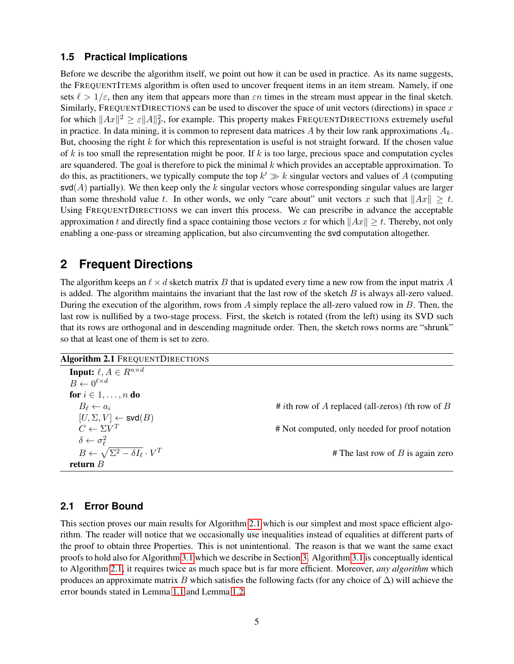### **1.5 Practical Implications**

Before we describe the algorithm itself, we point out how it can be used in practice. As its name suggests, the FREQUENTITEMS algorithm is often used to uncover frequent items in an item stream. Namely, if one sets  $\ell > 1/\varepsilon$ , then any item that appears more than  $\varepsilon n$  times in the stream must appear in the final sketch. Similarly, FREQUENTDIRECTIONS can be used to discover the space of unit vectors (directions) in space  $x$ for which  $||Ax||^2 \ge \varepsilon ||A||_F^2$ , for example. This property makes FREQUENTDIRECTIONS extremely useful in practice. In data mining, it is common to represent data matrices A by their low rank approximations  $A_k$ . But, choosing the right  $k$  for which this representation is useful is not straight forward. If the chosen value of k is too small the representation might be poor. If  $k$  is too large, precious space and computation cycles are squandered. The goal is therefore to pick the minimal  $k$  which provides an acceptable approximation. To do this, as practitioners, we typically compute the top  $k' \gg k$  singular vectors and values of A (computing  $\mathsf{svd}(A)$  partially). We then keep only the k singular vectors whose corresponding singular values are larger than some threshold value t. In other words, we only "care about" unit vectors x such that  $||Ax|| \geq t$ . Using FREQUENTDIRECTIONS we can invert this process. We can prescribe in advance the acceptable approximation t and directly find a space containing those vectors x for which  $||Ax|| \ge t$ . Thereby, not only enabling a one-pass or streaming application, but also circumventing the svd computation altogether.

# **2 Frequent Directions**

The algorithm keeps an  $\ell \times d$  sketch matrix B that is updated every time a new row from the input matrix A is added. The algorithm maintains the invariant that the last row of the sketch  $B$  is always all-zero valued. During the execution of the algorithm, rows from A simply replace the all-zero valued row in  $B$ . Then, the last row is nullified by a two-stage process. First, the sketch is rotated (from the left) using its SVD such that its rows are orthogonal and in descending magnitude order. Then, the sketch rows norms are "shrunk" so that at least one of them is set to zero.

```
Algorithm 2.1 FREQUENTDIRECTIONS
```

| <b>Input:</b> $\ell, A \in R^{n \times d}$               |                                                                |
|----------------------------------------------------------|----------------------------------------------------------------|
| $B \leftarrow 0^{\ell \times d}$                         |                                                                |
| for $i \in 1, \ldots, n$ do                              |                                                                |
| $B_{\ell} \leftarrow a_i$                                | # <i>i</i> th row of A replaced (all-zeros) $\ell$ th row of B |
| $[U, \Sigma, V] \leftarrow \mathsf{svd}(B)$              |                                                                |
| $C \leftarrow \Sigma V^T$                                | # Not computed, only needed for proof notation                 |
| $\delta \leftarrow \sigma_{\ell}^2$                      |                                                                |
| $B \leftarrow \sqrt{\Sigma^2 - \delta I_\ell} \cdot V^T$ | # The last row of $B$ is again zero                            |
| return $B$                                               |                                                                |

## <span id="page-4-1"></span>**2.1 Error Bound**

This section proves our main results for Algorithm [2.1](#page-4-0) which is our simplest and most space efficient algorithm. The reader will notice that we occasionally use inequalities instead of equalities at different parts of the proof to obtain three Properties. This is not unintentional. The reason is that we want the same exact proofs to hold also for Algorithm [3.1](#page-6-0) which we describe in Section [3.](#page-6-1) Algorithm [3.1](#page-6-0) is conceptually identical to Algorithm [2.1,](#page-4-0) it requires twice as much space but is far more efficient. Moreover, *any algorithm* which produces an approximate matrix B which satisfies the following facts (for any choice of  $\Delta$ ) will achieve the error bounds stated in Lemma [1.1](#page-3-1) and Lemma [1.2.](#page-3-2)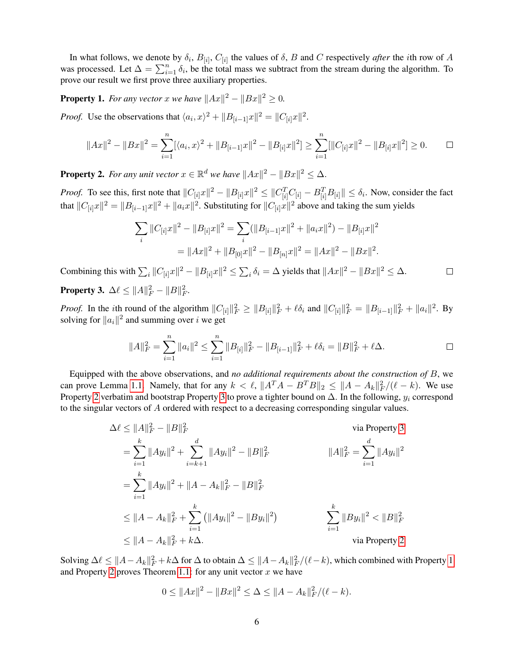In what follows, we denote by  $\delta_i$ ,  $B_{[i]}$ ,  $C_{[i]}$  the values of  $\delta$ ,  $B$  and  $C$  respectively *after* the *i*th row of  $A$ was processed. Let  $\Delta = \sum_{i=1}^{n} \delta_i$ , be the total mass we subtract from the stream during the algorithm. To prove our result we first prove three auxiliary properties.

<span id="page-5-2"></span>**Property 1.** For any vector x we have  $||Ax||^2 - ||Bx||^2 \ge 0$ .

*Proof.* Use the observations that  $\langle a_i, x \rangle^2 + ||B_{[i-1]}x||^2 = ||C_{[i]}x||^2$ .

$$
||Ax||^2 - ||Bx||^2 = \sum_{i=1}^n [\langle a_i, x \rangle^2 + ||B_{[i-1]}x||^2 - ||B_{[i]}x||^2] \ge \sum_{i=1}^n [||C_{[i]}x||^2 - ||B_{[i]}x||^2] \ge 0.
$$

<span id="page-5-0"></span>**Property 2.** For any unit vector  $x \in \mathbb{R}^d$  we have  $||Ax||^2 - ||Bx||^2 \leq \Delta$ .

*Proof.* To see this, first note that  $||C_{[i]}x||^2 - ||B_{[i]}x||^2 \leq ||C_{[i]}^T C_{[i]} - B_{[i]}^T B_{[i]}|| \leq \delta_i$ . Now, consider the fact that  $||C_{[i]}x||^2 = ||B_{[i-1]}x||^2 + ||a_ix||^2$ . Substituting for  $||C_{[i]}x||^2$  above and taking the sum yields

$$
\sum_{i} ||C_{[i]}x||^{2} - ||B_{[i]}x||^{2} = \sum_{i} (||B_{[i-1]}x||^{2} + ||a_{i}x||^{2}) - ||B_{[i]}x||^{2}
$$
  
=  $||Ax||^{2} + ||B_{[0]}x||^{2} - ||B_{[n]}x||^{2} = ||Ax||^{2} - ||Bx||^{2}$ .

Combining this with  $\sum_i ||C_{[i]}x||^2 - ||B_{[i]}x||^2 \le \sum_i \delta_i = \Delta$  yields that  $||Ax||^2 - ||Bx||^2 \le \Delta$ .  $\Box$ 

<span id="page-5-1"></span>**Property 3.** 
$$
\Delta \ell \leq ||A||_F^2 - ||B||_F^2
$$
.

*Proof.* In the *i*th round of the algorithm  $||C_{[i]}||_F^2 \ge ||B_{[i]}||_F^2 + \ell \delta_i$  and  $||C_{[i]}||_F^2 = ||B_{[i-1]}||_F^2 + ||a_i||^2$ . By solving for  $||a_i||^2$  and summing over *i* we get

$$
||A||_F^2 = \sum_{i=1}^n ||a_i||^2 \le \sum_{i=1}^n ||B_{[i]}||_F^2 - ||B_{[i-1]}||_F^2 + \ell \delta_i = ||B||_F^2 + \ell \Delta.
$$

Equipped with the above observations, and *no additional requirements about the construction of* B, we can prove Lemma [1.1.](#page-3-1) Namely, that for any  $k < \ell$ ,  $||A^T A - B^T B||_2 \le ||A - A_k||_F^2/(\ell - k)$ . We use Property [2](#page-5-0) verbatim and bootstrap Property [3](#page-5-1) to prove a tighter bound on  $\Delta$ . In the following,  $y_i$  correspond to the singular vectors of A ordered with respect to a decreasing corresponding singular values.

$$
\Delta \ell \le ||A||_F^2 - ||B||_F^2
$$
 via Property 3  
\n
$$
= \sum_{i=1}^k ||Ay_i||^2 + \sum_{i=k+1}^d ||Ay_i||^2 - ||B||_F^2
$$
  $||A||_F^2 = \sum_{i=1}^d ||Ay_i||^2$   
\n
$$
= \sum_{i=1}^k ||Ay_i||^2 + ||A - A_k||_F^2 - ||B||_F^2
$$
  
\n
$$
\le ||A - A_k||_F^2 + \sum_{i=1}^k (||Ay_i||^2 - ||By_i||^2)
$$
  
\n
$$
\sum_{i=1}^k ||By_i||^2 < ||B||_F^2
$$
  
\n
$$
\le ||A - A_k||_F^2 + k\Delta.
$$
 via Property 2

Solving  $\Delta \ell \leq ||A-A_k||_F^2 + k\Delta$  for  $\Delta$  to obtain  $\Delta \leq ||A-A_k||_F^2/(\ell-k)$ , which combined with Property [1](#page-5-2) and Property [2](#page-5-0) proves Theorem [1.1:](#page-3-1) for any unit vector  $x$  we have

$$
0 \leq ||Ax||^2 - ||Bx||^2 \leq \Delta \leq ||A - A_k||_F^2 / (\ell - k).
$$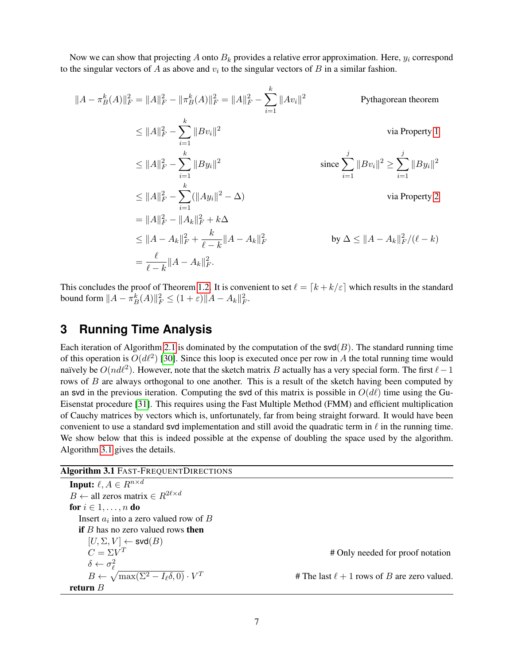Now we can show that projecting A onto  $B_k$  provides a relative error approximation. Here,  $y_i$  correspond to the singular vectors of A as above and  $v_i$  to the singular vectors of B in a similar fashion.

$$
||A - \pi_{B}^{k}(A)||_{F}^{2} = ||A||_{F}^{2} - ||\pi_{B}^{k}(A)||_{F}^{2} = ||A||_{F}^{2} - \sum_{i=1}^{k} ||Av_{i}||^{2}
$$
Pythagorean theorem  
\n
$$
\leq ||A||_{F}^{2} - \sum_{i=1}^{k} ||Bv_{i}||^{2}
$$
via Property 1  
\n
$$
\leq ||A||_{F}^{2} - \sum_{i=1}^{k} ||By_{i}||^{2}
$$
since  $\sum_{i=1}^{j} ||Bv_{i}||^{2} \geq \sum_{i=1}^{j} ||By_{i}||^{2}$   
\n
$$
\leq ||A||_{F}^{2} - \sum_{i=1}^{k} (||Ay_{i}||^{2} - \Delta)
$$
via Property 2  
\n
$$
= ||A||_{F}^{2} - ||A_{k}||_{F}^{2} + k\Delta
$$
  
\n
$$
\leq ||A - A_{k}||_{F}^{2} + \frac{k}{\ell - k} ||A - A_{k}||_{F}^{2}
$$
by  $\Delta \leq ||A - A_{k}||_{F}^{2}/(\ell - k)$   
\n
$$
= \frac{\ell}{\ell - k} ||A - A_{k}||_{F}^{2}.
$$

This concludes the proof of Theorem [1.2.](#page-3-2) It is convenient to set  $\ell = [k + k/\varepsilon]$  which results in the standard bound form  $||A - \pi_B^k(A)||_F^2 \le (1 + \varepsilon) ||A - A_k||_F^2$ .

# <span id="page-6-1"></span>**3 Running Time Analysis**

Each iteration of Algorithm [2.1](#page-4-0) is dominated by the computation of the  $\text{svd}(B)$ . The standard running time of this operation is  $O(d\ell^2)$  [\[30\]](#page-26-9). Since this loop is executed once per row in A the total running time would naïvely be  $O(nd^2)$ . However, note that the sketch matrix B actually has a very special form. The first  $\ell-1$ rows of B are always orthogonal to one another. This is a result of the sketch having been computed by an svd in the previous iteration. Computing the svd of this matrix is possible in  $O(d\ell)$  time using the Gu-Eisenstat procedure [\[31\]](#page-26-10). This requires using the Fast Multiple Method (FMM) and efficient multiplication of Cauchy matrices by vectors which is, unfortunately, far from being straight forward. It would have been convenient to use a standard svd implementation and still avoid the quadratic term in  $\ell$  in the running time. We show below that this is indeed possible at the expense of doubling the space used by the algorithm. Algorithm [3.1](#page-6-0) gives the details.

<span id="page-6-0"></span>

| <b>Algorithm 3.1 FAST-FREQUENTDIRECTIONS</b>                      |                                                  |
|-------------------------------------------------------------------|--------------------------------------------------|
| <b>Input:</b> $\ell, A \in R^{n \times d}$                        |                                                  |
| $B \leftarrow$ all zeros matrix $\in R^{2\ell \times d}$          |                                                  |
| for $i \in 1, \ldots, n$ do                                       |                                                  |
| Insert $a_i$ into a zero valued row of B                          |                                                  |
| if $B$ has no zero valued rows then                               |                                                  |
| $[U, \Sigma, V] \leftarrow \mathsf{svd}(B)$                       |                                                  |
| $C = \Sigma V^T$                                                  | # Only needed for proof notation                 |
| $\delta \leftarrow \sigma_{\ell}^2$                               |                                                  |
| $B \leftarrow \sqrt{\max(\Sigma^2 - I_\ell \delta, 0)} \cdot V^T$ | # The last $\ell + 1$ rows of B are zero valued. |
| return $B$                                                        |                                                  |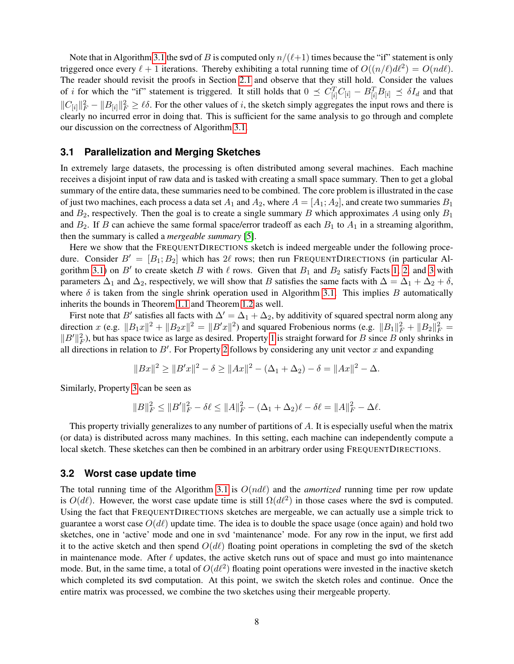Note that in Algorithm [3.1](#page-6-0) the svd of B is computed only  $n/(\ell+1)$  times because the "if" statement is only triggered once every  $\ell + 1$  iterations. Thereby exhibiting a total running time of  $O((n/\ell) d\ell^2) = O(nd\ell)$ . The reader should revisit the proofs in Section [2.1](#page-4-1) and observe that they still hold. Consider the values of *i* for which the "if" statement is triggered. It still holds that  $0 \preceq C_{[i]}^T C_{[i]} - B_{[i]}^T B_{[i]} \preceq \delta I_d$  and that  $||C_{[i]}||_F^2 - ||B_{[i]}||_F^2 \ge \ell \delta$ . For the other values of i, the sketch simply aggregates the input rows and there is clearly no incurred error in doing that. This is sufficient for the same analysis to go through and complete our discussion on the correctness of Algorithm [3.1.](#page-6-0)

### <span id="page-7-0"></span>**3.1 Parallelization and Merging Sketches**

In extremely large datasets, the processing is often distributed among several machines. Each machine receives a disjoint input of raw data and is tasked with creating a small space summary. Then to get a global summary of the entire data, these summaries need to be combined. The core problem is illustrated in the case of just two machines, each process a data set  $A_1$  and  $A_2$ , where  $A = [A_1; A_2]$ , and create two summaries  $B_1$ and  $B_2$ , respectively. Then the goal is to create a single summary B which approximates A using only  $B_1$ and  $B_2$ . If B can achieve the same formal space/error tradeoff as each  $B_1$  to  $A_1$  in a streaming algorithm, then the summary is called a *mergeable summary* [\[5\]](#page-24-5).

Here we show that the FREQUENTDIRECTIONS sketch is indeed mergeable under the following procedure. Consider  $B' = [B_1; B_2]$  which has  $2\ell$  rows; then run FREQUENTDIRECTIONS (in particular Al-gorithm [3.1\)](#page-6-0) on B' to create sketch B with  $\ell$  rows. Given that  $B_1$  and  $B_2$  satisfy Facts [1,](#page-5-2) [2,](#page-5-0) and [3](#page-5-1) with parameters  $\Delta_1$  and  $\Delta_2$ , respectively, we will show that B satisfies the same facts with  $\Delta = \Delta_1 + \Delta_2 + \delta$ , where  $\delta$  is taken from the single shrink operation used in Algorithm [3.1.](#page-6-0) This implies B automatically inherits the bounds in Theorem [1.1](#page-3-1) and Theorem [1.2](#page-3-2) as well.

First note that B' satisfies all facts with  $\Delta' = \Delta_1 + \Delta_2$ , by additivity of squared spectral norm along any direction x (e.g.  $||B_1x||^2 + ||B_2x||^2 = ||B'x||^2$ ) and squared Frobenious norms (e.g.  $||B_1||_F^2 + ||B_2||_F^2 =$  $||B'||_F^2$ ), but has space twice as large as desired. Property [1](#page-5-2) is straight forward for B since B only shrinks in all directions in relation to  $B'$ . For Property [2](#page-5-0) follows by considering any unit vector x and expanding

$$
||Bx||^2 \ge ||B'x||^2 - \delta \ge ||Ax||^2 - (\Delta_1 + \Delta_2) - \delta = ||Ax||^2 - \Delta.
$$

Similarly, Property [3](#page-5-1) can be seen as

$$
||B||_F^2 \le ||B'||_F^2 - \delta \ell \le ||A||_F^2 - (\Delta_1 + \Delta_2)\ell - \delta \ell = ||A||_F^2 - \Delta \ell.
$$

This property trivially generalizes to any number of partitions of A. It is especially useful when the matrix (or data) is distributed across many machines. In this setting, each machine can independently compute a local sketch. These sketches can then be combined in an arbitrary order using FREQUENTDIRECTIONS.

#### **3.2 Worst case update time**

The total running time of the Algorithm [3.1](#page-6-0) is  $O(nd)$  and the *amortized* running time per row update is  $O(d\ell)$ . However, the worst case update time is still  $\Omega(d\ell^2)$  in those cases where the svd is computed. Using the fact that FREQUENTDIRECTIONS sketches are mergeable, we can actually use a simple trick to guarantee a worst case  $O(d\ell)$  update time. The idea is to double the space usage (once again) and hold two sketches, one in 'active' mode and one in svd 'maintenance' mode. For any row in the input, we first add it to the active sketch and then spend  $O(d\ell)$  floating point operations in completing the svd of the sketch in maintenance mode. After  $\ell$  updates, the active sketch runs out of space and must go into maintenance mode. But, in the same time, a total of  $O(d\ell^2)$  floating point operations were invested in the inactive sketch which completed its svd computation. At this point, we switch the sketch roles and continue. Once the entire matrix was processed, we combine the two sketches using their mergeable property.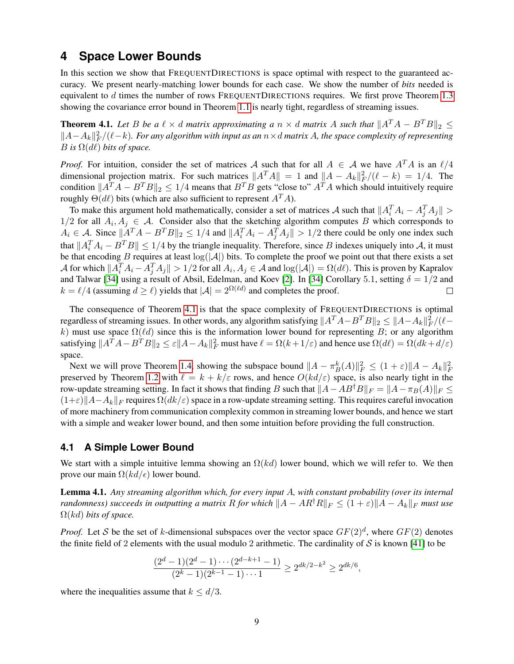## **4 Space Lower Bounds**

In this section we show that FREQUENTDIRECTIONS is space optimal with respect to the guaranteed accuracy. We present nearly-matching lower bounds for each case. We show the number of *bits* needed is equivalent to  $d$  times the number of rows FREQUENTDIRECTIONS requires. We first prove Theorem [1.3](#page-3-3) showing the covariance error bound in Theorem [1.1](#page-3-1) is nearly tight, regardless of streaming issues.

<span id="page-8-0"></span>**Theorem 4.1.** Let B be a  $\ell \times d$  matrix approximating a  $n \times d$  matrix A such that  $||A^T A - B^T B||_2 \le$  $\|A-A_k\|_F^2/(\ell-k)$ . For any algorithm with input as an  $n\times d$  matrix A, the space complexity of representing B is  $\Omega(d\ell)$  bits of space.

*Proof.* For intuition, consider the set of matrices A such that for all  $A \in \mathcal{A}$  we have  $A^T A$  is an  $\ell/4$ dimensional projection matrix. For such matrices  $||A^T A|| = 1$  and  $||A - A_k||_F^2/(\ell - k) = 1/4$ . The condition  $||A^T A - B^T B||_2 \le 1/4$  means that  $B^T B$  gets "close to"  $A^T A$  which should intuitively require roughly  $\Theta(d\ell)$  bits (which are also sufficient to represent  $A<sup>T</sup>A$ ).

To make this argument hold mathematically, consider a set of matrices A such that  $||A_i^T A_i - A_j^T A_j|| >$ 1/2 for all  $A_i, A_j \in \mathcal{A}$ . Consider also that the sketching algorithm computes B which corresponds to  $A_i \in \mathcal{A}$ . Since  $||A^T A - B^T B||_2 \le 1/4$  and  $||A_i^T A_i - A_j^T A_j|| > 1/2$  there could be only one index such that  $||A_i^T A_i - B^T B|| \le 1/4$  by the triangle inequality. Therefore, since B indexes uniquely into A, it must be that encoding B requires at least  $log(|A|)$  bits. To complete the proof we point out that there exists a set A for which  $||A_i^T A_i - A_j^T A_j|| > 1/2$  for all  $A_i, A_j \in \mathcal{A}$  and  $\log(|\mathcal{A}|) = \Omega(d\ell)$ . This is proven by Kapralov and Talwar [\[34\]](#page-26-11) using a result of Absil, Edelman, and Koev [\[2\]](#page-24-6). In [34] Corollary 5.1, setting  $\delta = 1/2$  and  $k = \ell/4$  (assuming  $d \ge \ell$ ) yields that  $|\mathcal{A}| = 2^{\Omega(\ell d)}$  and completes the proof.  $\Box$ 

The consequence of Theorem [4.1](#page-8-0) is that the space complexity of FREQUENTDIRECTIONS is optimal regardless of streaming issues. In other words, any algorithm satisfying  $||A^TA - B^TB||_2 \le ||A-A_k||_F^2/(\ell$ k) must use space  $\Omega(\ell d)$  since this is the information lower bound for representing B; or any algorithm satisfying  $||A^T A - B^T B||_2 \le \varepsilon ||A - A_k||_F^2$  must have  $\ell = \Omega(k + 1/\varepsilon)$  and hence use  $\Omega(d\ell) = \Omega(dk + d/\varepsilon)$ space.

Next we will prove Theorem [1.4,](#page-3-0) showing the subspace bound  $||A - \pi_B^k(A)||_F^2 \leq (1 + \varepsilon) ||A - A_k||_F^2$ preserved by Theorem [1.2](#page-3-2) with  $\ell = k + k/\varepsilon$  rows, and hence  $O(kd/\varepsilon)$  space, is also nearly tight in the row-update streaming setting. In fact it shows that finding B such that  $||A-AB^{\dagger}B||_F = ||A-\pi_B(A)||_F \le$  $(1+\varepsilon)\Vert A-A_k\Vert_F$  requires  $\Omega(dk/\varepsilon)$  space in a row-update streaming setting. This requires careful invocation of more machinery from communication complexity common in streaming lower bounds, and hence we start with a simple and weaker lower bound, and then some intuition before providing the full construction.

#### **4.1 A Simple Lower Bound**

We start with a simple intuitive lemma showing an  $\Omega(kd)$  lower bound, which we will refer to. We then prove our main  $\Omega(kd/\epsilon)$  lower bound.

<span id="page-8-1"></span>Lemma 4.1. *Any streaming algorithm which, for every input* A*, with constant probability (over its internal randomness) succeeds in outputting a matrix* R *for which*  $||A - AR^{\dagger}R||_F \leq (1+\varepsilon)||A - A_k||_F$  *must use* Ω(kd) *bits of space.*

*Proof.* Let S be the set of k-dimensional subspaces over the vector space  $GF(2)<sup>d</sup>$ , where  $GF(2)$  denotes the finite field of 2 elements with the usual modulo 2 arithmetic. The cardinality of  $S$  is known [\[41\]](#page-26-12) to be

$$
\frac{(2^d-1)(2^d-1)\cdots(2^{d-k+1}-1)}{(2^k-1)(2^{k-1}-1)\cdots 1} \ge 2^{dk/2-k^2} \ge 2^{dk/6},
$$

where the inequalities assume that  $k \leq d/3$ .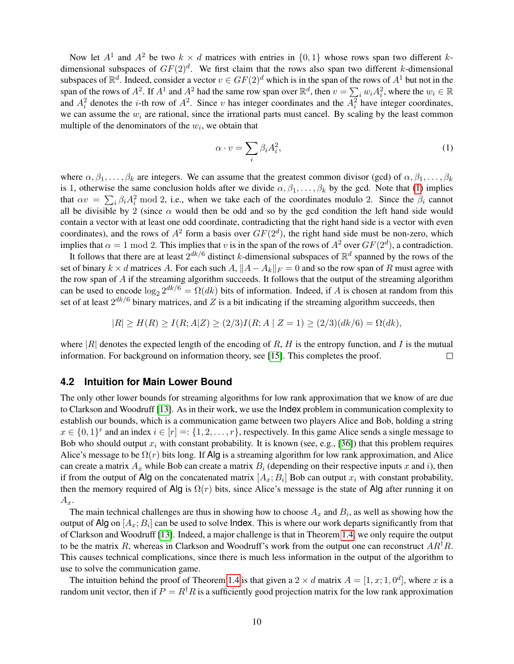Now let  $A^1$  and  $A^2$  be two  $k \times d$  matrices with entries in  $\{0,1\}$  whose rows span two different kdimensional subspaces of  $GF(2)<sup>d</sup>$ . We first claim that the rows also span two different k-dimensional subspaces of  $\mathbb{R}^d$ . Indeed, consider a vector  $v \in GF(2)^d$  which is in the span of the rows of  $A^1$  but not in the span of the rows of  $A^2$ . If  $A^1$  and  $A^2$  had the same row span over  $\mathbb{R}^d$ , then  $v = \sum_i w_i A_i^2$ , where the  $w_i \in \mathbb{R}$ and  $A_i^2$  denotes the *i*-th row of  $A^2$ . Since *v* has integer coordinates and the  $A_i^2$  have integer coordinates, we can assume the  $w_i$  are rational, since the irrational parts must cancel. By scaling by the least common multiple of the denominators of the  $w_i$ , we obtain that

<span id="page-9-0"></span>
$$
\alpha \cdot v = \sum_{i} \beta_i A_i^2,\tag{1}
$$

where  $\alpha, \beta_1, \ldots, \beta_k$  are integers. We can assume that the greatest common divisor (gcd) of  $\alpha, \beta_1, \ldots, \beta_k$ is 1, otherwise the same conclusion holds after we divide  $\alpha, \beta_1, \ldots, \beta_k$  by the gcd. Note that [\(1\)](#page-9-0) implies that  $\alpha v = \sum_i \beta_i A_i^2$  mod 2, i.e., when we take each of the coordinates modulo 2. Since the  $\beta_i$  cannot all be divisible by 2 (since  $\alpha$  would then be odd and so by the gcd condition the left hand side would contain a vector with at least one odd coordinate, contradicting that the right hand side is a vector with even coordinates), and the rows of  $A^2$  form a basis over  $GF(2^d)$ , the right hand side must be non-zero, which implies that  $\alpha = 1 \mod 2$ . This implies that v is in the span of the rows of  $A^2$  over  $GF(2^d)$ , a contradiction.

It follows that there are at least  $2^{dk/6}$  distinct k-dimensional subspaces of  $\mathbb{R}^d$  spanned by the rows of the set of binary  $k \times d$  matrices A. For each such A,  $||A - A_k||_F = 0$  and so the row span of R must agree with the row span of A if the streaming algorithm succeeds. It follows that the output of the streaming algorithm can be used to encode  $\log_2 2^{dk/6} = \Omega(dk)$  bits of information. Indeed, if A is chosen at random from this set of at least  $2^{dk/6}$  binary matrices, and Z is a bit indicating if the streaming algorithm succeeds, then

$$
|R| \ge H(R) \ge I(R; A|Z) \ge (2/3)I(R; A | Z = 1) \ge (2/3)(dk/6) = \Omega(dk),
$$

where |R| denotes the expected length of the encoding of R, H is the entropy function, and I is the mutual information. For background on information theory, see [15]. This completes the proof. information. For background on information theory, see [\[15\]](#page-25-11). This completes the proof.

#### **4.2 Intuition for Main Lower Bound**

The only other lower bounds for streaming algorithms for low rank approximation that we know of are due to Clarkson and Woodruff [\[13\]](#page-25-7). As in their work, we use the Index problem in communication complexity to establish our bounds, which is a communication game between two players Alice and Bob, holding a string  $x \in \{0,1\}^r$  and an index  $i \in [r] = \{1,2,\ldots,r\}$ , respectively. In this game Alice sends a single message to Bob who should output  $x_i$  with constant probability. It is known (see, e.g., [\[36\]](#page-26-13)) that this problem requires Alice's message to be  $\Omega(r)$  bits long. If Alg is a streaming algorithm for low rank approximation, and Alice can create a matrix  $A_x$  while Bob can create a matrix  $B_i$  (depending on their respective inputs x and i), then if from the output of Alg on the concatenated matrix  $[A_x; B_i]$  Bob can output  $x_i$  with constant probability, then the memory required of Alg is  $\Omega(r)$  bits, since Alice's message is the state of Alg after running it on  $A_x$ .

The main technical challenges are thus in showing how to choose  $A_x$  and  $B_i$ , as well as showing how the output of Alg on  $[A_x; B_i]$  can be used to solve Index. This is where our work departs significantly from that of Clarkson and Woodruff [\[13\]](#page-25-7). Indeed, a major challenge is that in Theorem [1.4,](#page-3-0) we only require the output to be the matrix R, whereas in Clarkson and Woodruff's work from the output one can reconstruct  $AR^{\dagger}R$ . This causes technical complications, since there is much less information in the output of the algorithm to use to solve the communication game.

The intuition behind the proof of Theorem [1.4](#page-3-0) is that given a  $2 \times d$  matrix  $A = [1, x; 1, 0^d]$ , where x is a random unit vector, then if  $P = R^{\dagger}R$  is a sufficiently good projection matrix for the low rank approximation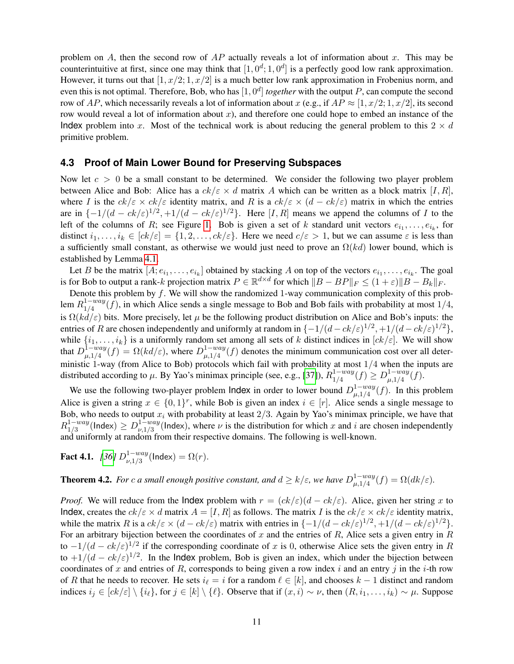problem on A, then the second row of  $AP$  actually reveals a lot of information about x. This may be counterintuitive at first, since one may think that  $[1, 0^d; 1, 0^d]$  is a perfectly good low rank approximation. However, it turns out that  $[1, x/2; 1, x/2]$  is a much better low rank approximation in Frobenius norm, and even this is not optimal. Therefore, Bob, who has  $[1, 0<sup>d</sup>]$  *together* with the output P, can compute the second row of AP, which necessarily reveals a lot of information about x (e.g., if  $AP \approx [1, x/2; 1, x/2]$ , its second row would reveal a lot of information about  $x$ ), and therefore one could hope to embed an instance of the Index problem into x. Most of the technical work is about reducing the general problem to this  $2 \times d$ primitive problem.

### **4.3 Proof of Main Lower Bound for Preserving Subspaces**

Now let  $c > 0$  be a small constant to be determined. We consider the following two player problem between Alice and Bob: Alice has a  $ck/\varepsilon \times d$  matrix A which can be written as a block matrix [I, R], where I is the  $ck/\varepsilon \times ck/\varepsilon$  identity matrix, and R is a  $ck/\varepsilon \times (d - ck/\varepsilon)$  matrix in which the entries are in  $\{-1/(d - ck/\varepsilon)^{1/2}, +1/(d - ck/\varepsilon)^{1/2}\}\$ . Here  $[I, R]$  means we append the columns of I to the left of the columns of R; see Figure [1.](#page-11-0) Bob is given a set of k standard unit vectors  $e_{i_1}, \ldots, e_{i_k}$ , for distinct  $i_1, \ldots, i_k \in [ck/\varepsilon] = \{1, 2, \ldots, ck/\varepsilon\}$ . Here we need  $c/\varepsilon > 1$ , but we can assume  $\varepsilon$  is less than a sufficiently small constant, as otherwise we would just need to prove an  $\Omega(kd)$  lower bound, which is established by Lemma [4.1.](#page-8-1)

Let B be the matrix  $[A; e_{i_1}, \ldots, e_{i_k}]$  obtained by stacking A on top of the vectors  $e_{i_1}, \ldots, e_{i_k}$ . The goal is for Bob to output a rank-k projection matrix  $P \in \mathbb{R}^{d \times d}$  for which  $||B - BP||_F \le (1 + \varepsilon) ||B - B_k||_F$ .

Denote this problem by  $f$ . We will show the randomized 1-way communication complexity of this problem  $R_{1/A}^{1-way}$  $\frac{1-way}{1/4}(f)$ , in which Alice sends a single message to Bob and Bob fails with probability at most  $1/4$ , is  $\Omega(kd/\varepsilon)$  bits. More precisely, let  $\mu$  be the following product distribution on Alice and Bob's inputs: the entries of R are chosen independently and uniformly at random in  $\{-1/(d - ck/\varepsilon)^{1/2}, +1/(d - ck/\varepsilon)^{1/2}\},$ while  $\{i_1, \ldots, i_k\}$  is a uniformly random set among all sets of k distinct indices in  $[ck/\varepsilon]$ . We will show that  $D_{u,1/A}^{\tilde{1}-way}$  $\lim_{\mu,1/4}^{1-way}(f) = \Omega(kd/\varepsilon)$ , where  $D_{\mu,1/4}^{1-way}$  $\lim_{\mu,1/4}^{1-way}(f)$  denotes the minimum communication cost over all deterministic 1-way (from Alice to Bob) protocols which fail with probability at most 1/4 when the inputs are distributed according to  $\mu$ . By Yao's minimax principle (see, e.g., [\[37\]](#page-26-14)),  $R_{1/4}^{1-way}$  $\frac{1 - way}{1/4}(f) \ge D_{\mu, 1/4}^{1 - way}$  $_{\mu,1/4}^{1-way}(f).$ 

We use the following two-player problem lndex in order to lower bound  $D_{u,1/4}^{1-way}$  $\lim_{\mu,1/4}^{1-way}(f)$ . In this problem Alice is given a string  $x \in \{0,1\}^r$ , while Bob is given an index  $i \in [r]$ . Alice sends a single message to Bob, who needs to output  $x_i$  with probability at least  $2/3$ . Again by Yao's minimax principle, we have that  $R^{1-way}_{1/3}$  $\frac{1 - way}{1/3}$ (Index)  $\geq D^{1 - way}_{\nu, 1/3}$  $v_{\nu,1/3}^{1-way}$ (Index), where  $\nu$  is the distribution for which x and i are chosen independently and uniformly at random from their respective domains. The following is well-known.

<span id="page-10-0"></span>**Fact 4.1.** *[\[36\]](#page-26-13)*  $D_{\nu}^{1-way}$  $v_{\nu,1/3}^{1-way}$ (Index) =  $\Omega(r)$ .

**Theorem 4.2.** *For c a* small enough positive constant, and  $d \ge k/\varepsilon$ , we have  $D_{\mu,1/4}^{1-way}$  $\lim_{\mu,1/4}^{1-way}(f) = \Omega(dk/\varepsilon).$ 

*Proof.* We will reduce from the Index problem with  $r = (ck/\varepsilon)(d - ck/\varepsilon)$ . Alice, given her string x to Index, creates the  $ck/\varepsilon \times d$  matrix  $A = [I, R]$  as follows. The matrix I is the  $ck/\varepsilon \times ck/\varepsilon$  identity matrix, while the matrix R is a  $ck/\varepsilon \times (d - ck/\varepsilon)$  matrix with entries in  $\{-1/(d - ck/\varepsilon)^{1/2}, +1/(d - ck/\varepsilon)^{1/2}\}.$ For an arbitrary bijection between the coordinates of x and the entries of R, Alice sets a given entry in  $R$ to  $-1/(d - ck/\varepsilon)^{1/2}$  if the corresponding coordinate of x is 0, otherwise Alice sets the given entry in R to  $+1/(d - ck/\varepsilon)^{1/2}$ . In the Index problem, Bob is given an index, which under the bijection between coordinates of x and entries of R, corresponds to being given a row index i and an entry j in the i-th row of R that he needs to recover. He sets  $i_{\ell} = i$  for a random  $\ell \in [k]$ , and chooses  $k - 1$  distinct and random indices  $i_j \in [ck/\varepsilon] \setminus \{i_\ell\}$ , for  $j \in [k] \setminus \{\ell\}$ . Observe that if  $(x, i) \sim \nu$ , then  $(R, i_1, \ldots, i_k) \sim \mu$ . Suppose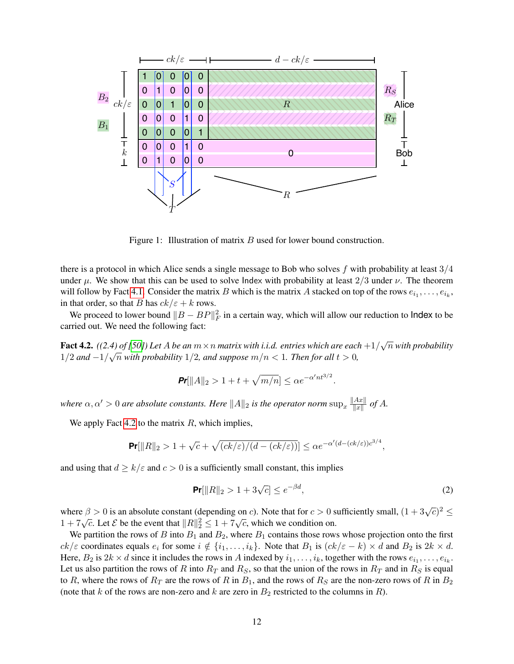

<span id="page-11-0"></span>Figure 1: Illustration of matrix B used for lower bound construction.

there is a protocol in which Alice sends a single message to Bob who solves f with probability at least  $3/4$ under  $\mu$ . We show that this can be used to solve Index with probability at least 2/3 under  $\nu$ . The theorem will follow by Fact [4.1.](#page-10-0) Consider the matrix B which is the matrix A stacked on top of the rows  $e_{i_1}, \ldots, e_{i_k}$ , in that order, so that B has  $ck/\varepsilon + k$  rows.

We proceed to lower bound  $||B - BP||_F^2$  in a certain way, which will allow our reduction to lndex to be carried out. We need the following fact:

<span id="page-11-1"></span>Fact 4.2.  $((2.4)$  of [\[50\]](#page-27-8)) Let A be an  $m \times n$  matrix with i.i.d. entries which are each  $+1/\sqrt{n}$  with probability 1/2 and  $-1/\sqrt{n}$  with probability 1/2, and suppose  $m/n < 1$ . Then for all  $t > 0$ ,

$$
\Pr[||A||_2 > 1 + t + \sqrt{m/n}] \le \alpha e^{-\alpha' n t^{3/2}}.
$$

*where*  $\alpha, \alpha' > 0$  *are absolute constants. Here*  $||A||_2$  *is the operator norm*  $\sup_x \frac{||Ax||}{||x||}$  $\frac{Ax\|}{\|x\|}$  of A.

We apply Fact [4.2](#page-11-1) to the matrix  $R$ , which implies,

$$
\Pr[\|R\|_2 > 1 + \sqrt{c} + \sqrt{(ck/\varepsilon)/(d - (ck/\varepsilon))}] \le \alpha e^{-\alpha'(d - (ck/\varepsilon))c^{3/4}},
$$

and using that  $d \ge k/\varepsilon$  and  $c > 0$  is a sufficiently small constant, this implies

$$
\Pr[||R||_2 > 1 + 3\sqrt{c}] \le e^{-\beta d},\tag{2}
$$

where  $\beta > 0$  is an absolute constant (depending on c). Note that for  $c > 0$  sufficiently small,  $(1 + 3\sqrt{c})^2 \le$  $1 + 7\sqrt{c}$ . Let  $\mathcal{E}$  be the event that  $||R||_2^2 \le 1 + 7\sqrt{c}$ , which we condition on.

We partition the rows of B into  $B_1$  and  $B_2$ , where  $B_1$  contains those rows whose projection onto the first  $ck/\varepsilon$  coordinates equals  $e_i$  for some  $i \notin \{i_1, \ldots, i_k\}$ . Note that  $B_1$  is  $(ck/\varepsilon - k) \times d$  and  $B_2$  is  $2k \times d$ . Here,  $B_2$  is  $2k \times d$  since it includes the rows in A indexed by  $i_1, \ldots, i_k$ , together with the rows  $e_{i_1}, \ldots, e_{i_k}$ . Let us also partition the rows of R into  $R_T$  and  $R_S$ , so that the union of the rows in  $R_T$  and in  $R_S$  is equal to R, where the rows of  $R_T$  are the rows of R in  $B_1$ , and the rows of  $R_S$  are the non-zero rows of R in  $B_2$ (note that k of the rows are non-zero and k are zero in  $B_2$  restricted to the columns in R).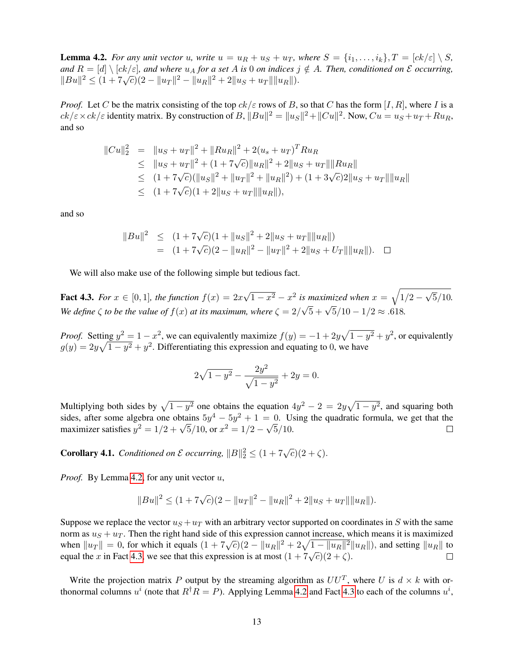<span id="page-12-0"></span>**Lemma 4.2.** *For any unit vector u*, *write*  $u = u_R + u_S + u_T$ *, where*  $S = \{i_1, \ldots, i_k\}$ ,  $T = [ck/\varepsilon] \setminus S$ *, and*  $R = [d] \setminus [ck/\varepsilon]$ , and where  $u_A$  *for a set* A *is* 0 *on indices*  $j \notin A$ *. Then, conditioned on*  $\mathcal E$  *occurring,*  $||Bu||^2 \leq (1 + 7\sqrt{c})(2 - ||u_T||^2 - ||u_R||^2 + 2||u_S + u_T|| ||u_R||).$ 

*Proof.* Let C be the matrix consisting of the top  $ck/\varepsilon$  rows of B, so that C has the form [I, R], where I is a  $ck/\varepsilon \times ck/\varepsilon$  identity matrix. By construction of B,  $||Bu||^2 = ||u_S||^2 + ||Cu||^2$ . Now,  $Cu = u_S + u_T + Ru_R$ , and so

$$
||Cu||_2^2 = ||u_S + u_T||^2 + ||Ru_R||^2 + 2(u_s + u_T)^T Ru_R
$$
  
\n
$$
\leq ||u_S + u_T||^2 + (1 + 7\sqrt{c})||u_R||^2 + 2||u_S + u_T|| ||Ru_R||
$$
  
\n
$$
\leq (1 + 7\sqrt{c})(||u_S||^2 + ||u_T||^2 + ||u_R||^2) + (1 + 3\sqrt{c})2||u_S + u_T|| ||u_R||
$$
  
\n
$$
\leq (1 + 7\sqrt{c})(1 + 2||u_S + u_T|| ||u_R||),
$$

and so

$$
||Bu||2 \le (1 + 7\sqrt{c})(1 + ||u_S||2 + 2||u_S + u_T|| ||u_R||)= (1 + 7\sqrt{c})(2 - ||u_R||2 - ||u_T||2 + 2||u_S + U_T|| ||u_R||). \square
$$

We will also make use of the following simple but tedious fact.

<span id="page-12-1"></span>Fact 4.3. For  $x \in [0,1]$ , the function  $f(x) = 2x\sqrt{1-x^2} - x^2$  is maximized when  $x = \sqrt{1/2 - \sqrt{5}/10}$ . *We define*  $\zeta$  *to be the value of*  $f(x)$  *at its maximum, where*  $\zeta = 2/\sqrt{5} + \sqrt{5}/10 - 1/2 \approx .618$ .

*Proof.* Setting  $y^2 = 1 - x^2$ , we can equivalently maximize  $f(y) = -1 + 2y\sqrt{1 - y^2} + y^2$ , or equivalently  $g(y) = 2y\sqrt{1 - y^2} + y^2$ . Differentiating this expression and equating to 0, we have

$$
2\sqrt{1-y^2} - \frac{2y^2}{\sqrt{1-y^2}} + 2y = 0.
$$

Multiplying both sides by  $\sqrt{1 - y^2}$  one obtains the equation  $4y^2 - 2 = 2y\sqrt{1 - y^2}$ , and squaring both sides, after some algebra one obtains  $5y^4 - 5y^2 + 1 = 0$ . Using the quadratic formula, we get that the maximizer satisfies  $y^2 = 1/2 + \sqrt{5}/10$ , or  $x^2 = 1/2 - \sqrt{5}/10$ .  $\Box$ 

<span id="page-12-2"></span>**Corollary 4.1.** *Conditioned on*  $\mathcal{E}$  *occurring,*  $||B||_2^2 \leq (1 + 7\sqrt{c})(2 + \zeta)$ *.* 

*Proof.* By Lemma [4.2,](#page-12-0) for any unit vector u,

$$
||Bu||2 \le (1 + 7\sqrt{c})(2 - ||u_T||2 - ||u_R||2 + 2||u_S + u_T|| ||u_R||).
$$

Suppose we replace the vector  $u<sub>S</sub> + u<sub>T</sub>$  with an arbitrary vector supported on coordinates in S with the same norm as  $u<sub>S</sub> + u<sub>T</sub>$ . Then the right hand side of this expression cannot increase, which means it is maximized when  $||u_T|| = 0$ , for which it equals  $(1 + 7\sqrt{c})(2 - ||u_R||^2 + 2\sqrt{1 - ||u_R||^2}||u_R||)$ , and setting  $||u_R||$  to equal the x in Fact [4.3,](#page-12-1) we see that this expression is at most  $(1 + 7\sqrt{c})(\frac{1}{2} + \zeta)$ .

Write the projection matrix P output by the streaming algorithm as  $UU^T$ , where U is  $d \times k$  with orthonormal columns  $u^i$  (note that  $R^{\dagger}R = P$ ). Applying Lemma [4.2](#page-12-0) and Fact [4.3](#page-12-1) to each of the columns  $u^i$ ,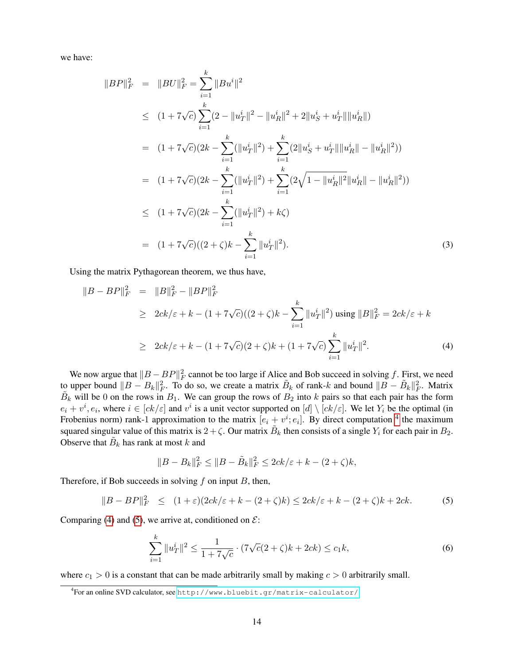we have:

$$
||BP||_F^2 = ||BU||_F^2 = \sum_{i=1}^k ||Bu^i||^2
$$
  
\n
$$
\leq (1 + 7\sqrt{c}) \sum_{i=1}^k (2 - ||u_T^i||^2 - ||u_R^i||^2 + 2||u_S^i + u_T^i|| ||u_R^i||)
$$
  
\n
$$
= (1 + 7\sqrt{c})(2k - \sum_{i=1}^k (||u_T^i||^2) + \sum_{i=1}^k (2||u_S^i + u_T^i|| ||u_R^i|| - ||u_R^i||^2))
$$
  
\n
$$
= (1 + 7\sqrt{c})(2k - \sum_{i=1}^k (||u_T^i||^2) + \sum_{i=1}^k (2\sqrt{1 - ||u_R^i||^2} ||u_R^i|| - ||u_R^i||^2))
$$
  
\n
$$
\leq (1 + 7\sqrt{c})(2k - \sum_{i=1}^k (||u_T^i||^2) + k\zeta)
$$
  
\n
$$
= (1 + 7\sqrt{c})(2k - \sum_{i=1}^k ||u_T^i||^2).
$$
 (3)

Using the matrix Pythagorean theorem, we thus have,

<span id="page-13-1"></span>
$$
||B - BP||_F^2 = ||B||_F^2 - ||BP||_F^2
$$
  
\n
$$
\geq 2ck/\varepsilon + k - (1 + 7\sqrt{c})(2 + \zeta)k - \sum_{i=1}^k ||u_T^i||^2) \text{ using } ||B||_F^2 = 2ck/\varepsilon + k
$$
  
\n
$$
\geq 2ck/\varepsilon + k - (1 + 7\sqrt{c})(2 + \zeta)k + (1 + 7\sqrt{c})\sum_{i=1}^k ||u_T^i||^2.
$$
 (4)

We now argue that  $||B - BP||_F^2$  cannot be too large if Alice and Bob succeed in solving f. First, we need to upper bound  $||B - B_k||_F^2$ . To do so, we create a matrix  $\tilde{B}_k$  of rank-k and bound  $||B - \tilde{B}_k||_F^2$ . Matrix  $\tilde{B}_k$  will be 0 on the rows in  $B_1$ . We can group the rows of  $B_2$  into k pairs so that each pair has the form  $e_i + v^i, e_i$ , where  $i \in [ck/\varepsilon]$  and  $v^i$  is a unit vector supported on  $[d] \setminus [ck/\varepsilon]$ . We let  $Y_i$  be the optimal (in Frobenius norm) rank-1 approximation to the matrix  $[e_i + v^i; e_i]$ . By direct computation <sup>[4](#page-13-0)</sup> the maximum squared singular value of this matrix is  $2 + \zeta$ . Our matrix  $B_k$  then consists of a single  $Y_i$  for each pair in  $B_2$ . Observe that  $\tilde{B}_k$  has rank at most k and

$$
||B - B_k||_F^2 \le ||B - \tilde{B}_k||_F^2 \le 2ck/\varepsilon + k - (2 + \zeta)k,
$$

Therefore, if Bob succeeds in solving  $f$  on input  $B$ , then,

<span id="page-13-2"></span>
$$
||B - BP||F2 \le (1+\varepsilon)(2ck/\varepsilon + k - (2+\zeta)k) \le 2ck/\varepsilon + k - (2+\zeta)k + 2ck.
$$
 (5)

Comparing [\(4\)](#page-13-1) and [\(5\)](#page-13-2), we arrive at, conditioned on  $\mathcal{E}$ :

<span id="page-13-3"></span>
$$
\sum_{i=1}^{k} \|u_T^i\|^2 \le \frac{1}{1 + 7\sqrt{c}} \cdot (7\sqrt{c}(2 + \zeta)k + 2ck) \le c_1 k,\tag{6}
$$

where  $c_1 > 0$  is a constant that can be made arbitrarily small by making  $c > 0$  arbitrarily small.

<span id="page-13-0"></span><sup>4</sup> For an online SVD calculator, see <http://www.bluebit.gr/matrix-calculator/>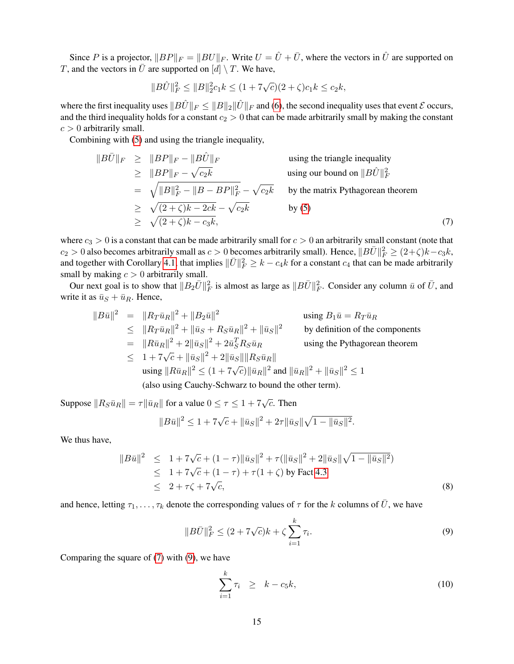Since P is a projector,  $||BP||_F = ||BU||_F$ . Write  $U = \hat{U} + \overline{U}$ , where the vectors in  $\hat{U}$  are supported on T, and the vectors in  $\bar{U}$  are supported on  $[d] \setminus T$ . We have,

$$
||B\hat{U}||_F^2 \le ||B||_2^2 c_1 k \le (1 + 7\sqrt{c})(2 + \zeta)c_1 k \le c_2 k,
$$

where the first inequality uses  $||B\hat{U}||_F \le ||B||_2 ||\hat{U}||_F$  and [\(6\)](#page-13-3), the second inequality uses that event  $\mathcal E$  occurs, and the third inequality holds for a constant  $c_2 > 0$  that can be made arbitrarily small by making the constant  $c > 0$  arbitrarily small.

Combining with [\(5\)](#page-13-2) and using the triangle inequality,

<span id="page-14-0"></span>
$$
||B\overline{U}||_F \ge ||BP||_F - ||B\hat{U}||_F
$$
 using the triangle inequality  
\n
$$
\ge ||BP||_F - \sqrt{c_2k}
$$
 using our bound on  $||B\hat{U}||_F^2$   
\n
$$
= \sqrt{||B||_F^2 - ||B - BP||_F^2} - \sqrt{c_2k}
$$
 by the matrix Pythagorean theorem  
\n
$$
\ge \sqrt{(2 + \zeta)k - 2ck} - \sqrt{c_2k}
$$
 by (5)  
\n
$$
\ge \sqrt{(2 + \zeta)k - c_3k},
$$
 (7)

where  $c_3 > 0$  is a constant that can be made arbitrarily small for  $c > 0$  an arbitrarily small constant (note that  $c_2 > 0$  also becomes arbitrarily small as  $c > 0$  becomes arbitrarily small). Hence,  $||B\bar{U}||_F^2 \geq (2+\zeta)k - c_3k$ , and together with Corollary [4.1,](#page-12-2) that implies  $\|\bar{U}\|_F^2 \geq k - c_4k$  for a constant  $c_4$  that can be made arbitrarily small by making  $c > 0$  arbitrarily small.

Our next goal is to show that  $||B_2\bar{U}||_F^2$  is almost as large as  $||B\bar{U}||_F^2$ . Consider any column  $\bar{u}$  of  $\bar{U}$ , and write it as  $\bar{u}_S + \bar{u}_R$ . Hence,

$$
||B\bar{u}||^2 = ||R_T\bar{u}_R||^2 + ||B_2\bar{u}||^2
$$
 using  $B_1\bar{u} = R_T\bar{u}_R$   
\n
$$
\leq ||R_T\bar{u}_R||^2 + ||\bar{u}_S + R_S\bar{u}_R||^2 + ||\bar{u}_S||^2
$$
 by definition of the components  
\n
$$
= ||R\bar{u}_R||^2 + 2||\bar{u}_S||^2 + 2\bar{u}_S^T R_S\bar{u}_R
$$
 using the Pythagorean theorem  
\n
$$
\leq 1 + 7\sqrt{c} + ||\bar{u}_S||^2 + 2||\bar{u}_S|| ||R_S\bar{u}_R||
$$
  
\nusing  $||R\bar{u}_R||^2 \leq (1 + 7\sqrt{c}) ||\bar{u}_R||^2$  and  $||\bar{u}_R||^2 + ||\bar{u}_S||^2 \leq 1$   
\n(also using Cauchy-Schwarz to bound the other term).

Suppose  $||R_S\bar{u}_R|| = \tau ||\bar{u}_R||$  for a value  $0 \le \tau \le 1 + 7\sqrt{c}$ . Then

$$
||B\bar{u}||^2 \le 1 + 7\sqrt{c} + ||\bar{u}_S||^2 + 2\tau ||\bar{u}_S||\sqrt{1 - ||\bar{u}_S||^2}.
$$

We thus have,

$$
||B\bar{u}||^2 \le 1 + 7\sqrt{c} + (1 - \tau) ||\bar{u}_S||^2 + \tau (||\bar{u}_S||^2 + 2||\bar{u}_S||\sqrt{1 - ||\bar{u}_S||^2})
$$
  
\n
$$
\le 1 + 7\sqrt{c} + (1 - \tau) + \tau (1 + \zeta) \text{ by Fact 4.3}
$$
  
\n
$$
\le 2 + \tau \zeta + 7\sqrt{c},
$$
\n(8)

and hence, letting  $\tau_1, \ldots, \tau_k$  denote the corresponding values of  $\tau$  for the k columns of  $\bar{U}$ , we have

<span id="page-14-1"></span>
$$
||B\bar{U}||_F^2 \le (2 + 7\sqrt{c})k + \zeta \sum_{i=1}^k \tau_i.
$$
\n(9)

Comparing the square of [\(7\)](#page-14-0) with [\(9\)](#page-14-1), we have

<span id="page-14-2"></span>
$$
\sum_{i=1}^{k} \tau_i \geq k - c_5 k, \tag{10}
$$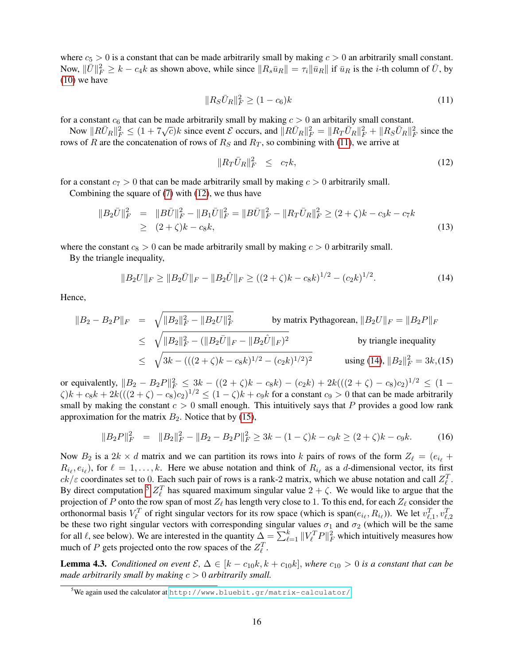where  $c_5 > 0$  is a constant that can be made arbitrarily small by making  $c > 0$  an arbitrarily small constant. Now,  $\|\bar{U}\|_F^2 \ge k - c_4k$  as shown above, while since  $\|R_s\bar{u}_R\| = \tau_i \|\bar{u}_R\|$  if  $\bar{u}_R$  is the *i*-th column of  $\bar{U}$ , by  $(10)$  we have

<span id="page-15-0"></span>
$$
||R_S\bar{U}_R||_F^2 \ge (1 - c_6)k\tag{11}
$$

for a constant  $c_6$  that can be made arbitrarily small by making  $c > 0$  an arbitarily small constant.

Now  $||R\bar{U}_R||_F^2 \leq (1 + 7\sqrt{\epsilon})k$  since event  $\mathcal{E}$  occurs, and  $||R\bar{U}_R||_F^2 = ||R_T\bar{U}_R||_F^2 + ||R_S\bar{U}_R||_F^2$  since the rows of R are the concatenation of rows of  $R<sub>S</sub>$  and  $R<sub>T</sub>$ , so combining with [\(11\)](#page-15-0), we arrive at

<span id="page-15-1"></span>
$$
||R_T \bar{U}_R||_F^2 \le c_7 k,\tag{12}
$$

for a constant  $c_7 > 0$  that can be made arbitrarily small by making  $c > 0$  arbitrarily small.

Combining the square of [\(7\)](#page-14-0) with [\(12\)](#page-15-1), we thus have

$$
||B_2\bar{U}||_F^2 = ||B\bar{U}||_F^2 - ||B_1\bar{U}||_F^2 = ||B\bar{U}||_F^2 - ||R_T\bar{U}_R||_F^2 \ge (2+\zeta)k - c_3k - c_7k
$$
  
\n
$$
\ge (2+\zeta)k - c_8k,
$$
\n(13)

where the constant  $c_8 > 0$  can be made arbitrarily small by making  $c > 0$  arbitrarily small.

By the triangle inequality,

<span id="page-15-2"></span>
$$
||B_2 U||_F \ge ||B_2 \bar{U}||_F - ||B_2 \hat{U}||_F \ge ((2+\zeta)k - c_8k)^{1/2} - (c_2k)^{1/2}.
$$
\n(14)

Hence,

<span id="page-15-3"></span>
$$
||B_2 - B_2P||_F = \sqrt{||B_2||_F^2 - ||B_2U||_F^2}
$$
 by matrix Pythagorean,  $||B_2U||_F = ||B_2P||_F$   
\n
$$
\leq \sqrt{||B_2||_F^2 - (||B_2\bar{U}||_F - ||B_2\hat{U}||_F)^2}
$$
 by triangle inequality  
\n
$$
\leq \sqrt{3k - (((2 + \zeta)k - c_8k)^{1/2} - (c_2k)^{1/2})^2}
$$
 using (14),  $||B_2||_F^2 = 3k$ , (15)

or equivalently,  $||B_2 - B_2P||_F^2 \le 3k - ((2 + \zeta)k - c_8k) - (c_2k) + 2k(((2 + \zeta) - c_8)c_2)^{1/2} \le (1 \zeta$ ) $k + c_8k + 2k(((2 + \zeta) - c_8)c_2)^{1/2} \le (1 - \zeta)k + c_9k$  for a constant  $c_9 > 0$  that can be made arbitrarily small by making the constant  $c > 0$  small enough. This intuitively says that P provides a good low rank approximation for the matrix  $B_2$ . Notice that by [\(15\)](#page-15-3),

<span id="page-15-5"></span>
$$
||B_2P||_F^2 = ||B_2||_F^2 - ||B_2 - B_2P||_F^2 \ge 3k - (1 - \zeta)k - c_9k \ge (2 + \zeta)k - c_9k. \tag{16}
$$

Now  $B_2$  is a  $2k \times d$  matrix and we can partition its rows into k pairs of rows of the form  $Z_\ell = (e_{i_\ell} +$  $R_{i_\ell}, e_{i_\ell}$ ), for  $\ell = 1, \ldots, k$ . Here we abuse notation and think of  $R_{i_\ell}$  as a d-dimensional vector, its first  $ck/\varepsilon$  coordinates set to 0. Each such pair of rows is a rank-2 matrix, which we abuse notation and call  $Z_{\ell}^{T}$ . By direct computation <sup>[5](#page-15-4)</sup>  $Z_{\ell}^{T}$  has squared maximum singular value  $2 + \zeta$ . We would like to argue that the projection of P onto the row span of most  $Z_\ell$  has length very close to 1. To this end, for each  $Z_\ell$  consider the orthonormal basis  $V_\ell^T$  of right singular vectors for its row space (which is span $(e_{i_\ell}, R_{i_\ell})$ ). We let  $v_{\ell,1}^T, v_{\ell,2}^T$ be these two right singular vectors with corresponding singular values  $\sigma_1$  and  $\sigma_2$  (which will be the same for all  $\ell$ , see below). We are interested in the quantity  $\Delta = \sum_{\ell=1}^k ||V_{\ell}^T P||_F^2$  which intuitively measures how much of P gets projected onto the row spaces of the  $Z_{\ell}^T$ .

<span id="page-15-6"></span>**Lemma 4.3.** *Conditioned on event*  $\mathcal{E}$ ,  $\Delta \in [k - c_{10}k, k + c_{10}k]$ , *where*  $c_{10} > 0$  *is a constant that can be made arbitrarily small by making* c > 0 *arbitrarily small.*

<span id="page-15-4"></span><sup>5</sup>We again used the calculator at <http://www.bluebit.gr/matrix-calculator/>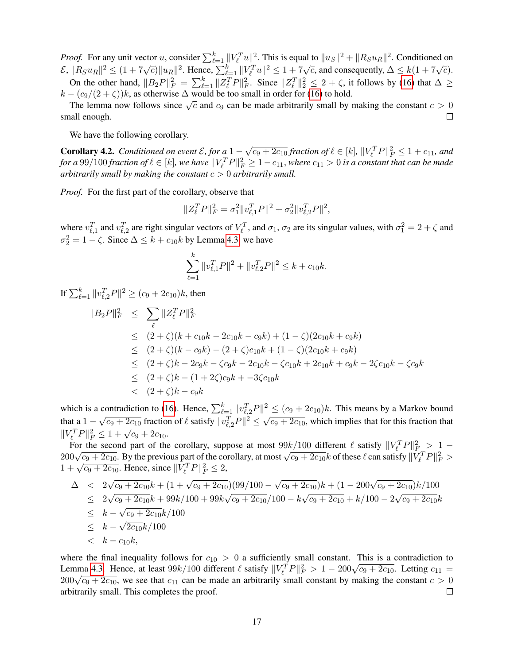*Proof.* For any unit vector u, consider  $\sum_{\ell=1}^k ||V_{\ell}^T u||^2$ . This is equal to  $||u_S||^2 + ||R_S u_R||^2$ . Conditioned on  $\mathcal{E}, ||R_S u_R||^2 \leq (1 + 7\sqrt{\epsilon})||u_R||^2$ . Hence,  $\sum_{\ell=1}^k ||V_{\ell}^T u||^2 \leq 1 + 7\sqrt{\epsilon}$ , and consequently,  $\Delta \leq k(1 + 7\sqrt{\epsilon})$ . On the other hand,  $||B_2P||_F^2 = \sum_{\ell=1}^k ||Z_{\ell}^T P||_F^2$ . Since  $||Z_{\ell}^T ||_2^2 \le 2 + \zeta$ , it follows by [\(16\)](#page-15-5) that  $\Delta \ge$  $k - (c_9/(2+\zeta))k$ , as otherwise  $\Delta$  would be too small in order for [\(16\)](#page-15-5) to hold.

The lemma now follows since  $\sqrt{c}$  and  $c_9$  can be made arbitrarily small by making the constant  $c > 0$  $\Box$ small enough.

We have the following corollary.

<span id="page-16-0"></span>**Corollary 4.2.** *Conditioned on event*  $\mathcal{E}$ , for a  $1 - \sqrt{c_9 + 2c_{10}}$  *fraction of*  $\ell \in [k]$ ,  $||V_{\ell}^T P||_F^2 \le 1 + c_{11}$ , and for a  $99/100$  fraction of  $\ell \in [k]$ , we have  $\|V_\ell^TP\|_F^2 \geq 1-c_{11}$ , where  $c_{11}>0$  is a constant that can be made *arbitrarily small by making the constant* c > 0 *arbitrarily small.*

*Proof.* For the first part of the corollary, observe that

$$
||Z_{\ell}^T P||_F^2 = \sigma_1^2 ||v_{\ell,1}^T P||^2 + \sigma_2^2 ||v_{\ell,2}^T P||^2,
$$

where  $v_{\ell,1}^T$  and  $v_{\ell,2}^T$  are right singular vectors of  $V_\ell^T$ , and  $\sigma_1$ ,  $\sigma_2$  are its singular values, with  $\sigma_1^2 = 2 + \zeta$  and  $\sigma_2^2 = 1 - \zeta$ . Since  $\Delta \leq k + c_{10}k$  by Lemma [4.3,](#page-15-6) we have

$$
\sum_{\ell=1}^k \|v_{\ell,1}^T P\|^2 + \|v_{\ell,2}^T P\|^2 \le k + c_{10}k.
$$

If  $\sum_{\ell=1}^k \|v_{\ell,2}^T P\|^2 \ge (c_9 + 2c_{10})k$ , then

$$
\|B_2P\|_F^2 \leq \sum_{\ell} \|Z_{\ell}^T P\|_F^2
$$
  
\n
$$
\leq (2+\zeta)(k+c_{10}k-2c_{10}k-c_{9}k) + (1-\zeta)(2c_{10}k+c_{9}k)
$$
  
\n
$$
\leq (2+\zeta)(k-c_{9}k) - (2+\zeta)c_{10}k + (1-\zeta)(2c_{10}k+c_{9}k)
$$
  
\n
$$
\leq (2+\zeta)k - 2c_{9}k - \zeta c_{9}k - 2c_{10}k - \zeta c_{10}k + 2c_{10}k + c_{9}k - 2\zeta c_{10}k - \zeta c_{9}k
$$
  
\n
$$
\leq (2+\zeta)k - (1+2\zeta)c_{9}k + -3\zeta c_{10}k
$$
  
\n
$$
< (2+\zeta)k - c_{9}k
$$

which is a contradiction to [\(16\)](#page-15-5). Hence,  $\sum_{\ell=1}^k \|v_{\ell,2}^T P\|^2 \le (c_9 + 2c_{10})k$ . This means by a Markov bound that a  $1 - \sqrt{c_9 + 2c_{10}}$  fraction of  $\ell$  satisfy  $||v_{\ell,2}^T P||^2 \le \sqrt{c_9 + 2c_{10}}$ , which implies that for this fraction that  $||V_l^T P||_F^2 \leq 1 + \sqrt{c_9 + 2c_{10}}.$ 

For the second part of the corollary, suppose at most  $99k/100$  different  $\ell$  satisfy  $||V_{\ell}^T P||_{F_{\ell}}^2 > 1$  –  $200\sqrt{c_9 + 2c_{10}}$ . By the previous part of the corollary, at most  $\sqrt{c_9 + 2c_{10}}k$  of these  $\ell$  can satisfy  $\|\nabla^T_\ell P\|^2_F >$  $1 + \sqrt{c_9 + 2c_{10}}$ . Hence, since  $\|\hat{V}_{\ell}^T P\|_F^2 \leq 2$ ,

$$
\begin{array}{rcl}\n\Delta & < & 2\sqrt{c_9 + 2c_{10}}k + (1 + \sqrt{c_9 + 2c_{10}})(99/100 - \sqrt{c_9 + 2c_{10}})k + (1 - 200\sqrt{c_9 + 2c_{10}})k/100 \\
& < & 2\sqrt{c_9 + 2c_{10}}k + 99k/100 + 99k\sqrt{c_9 + 2c_{10}}/100 - k\sqrt{c_9 + 2c_{10}} + k/100 - 2\sqrt{c_9 + 2c_{10}}k \\
& < & k - \sqrt{c_9 + 2c_{10}}k/100 \\
& < & k - \sqrt{2c_{10}}k/100 \\
& < & k - c_{10}k,\n\end{array}
$$

where the final inequality follows for  $c_{10} > 0$  a sufficiently small constant. This is a contradiction to Lemma [4.3.](#page-15-6) Hence, at least  $99k/100$  different  $\ell$  satisfy  $||V_l^T P||_F^2 > 1 - 200\sqrt{c_9 + 2c_{10}}$ . Letting  $c_{11} =$  $200\sqrt{c_9 + 2c_{10}}$ , we see that  $c_{11}$  can be made an arbitrarily small constant by making the constant  $c > 0$ arbitrarily small. This completes the proof.  $\Box$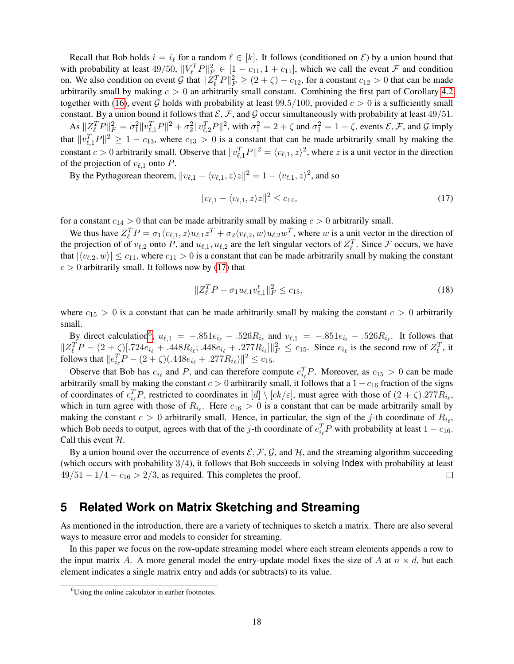Recall that Bob holds  $i = i_\ell$  for a random  $\ell \in [k]$ . It follows (conditioned on  $\mathcal{E}$ ) by a union bound that with probability at least  $49/50$ ,  $||V_e^T P||_{F_{\text{max}}}^2 \in [1 - c_{11}, 1 + c_{11}]$ , which we call the event  $\mathcal F$  and condition on. We also condition on event G that  $||Z_{\ell}^T P||_F^2 \ge (2+\zeta) - c_{12}$ , for a constant  $c_{12} > 0$  that can be made arbitrarily small by making  $c > 0$  an arbitrarily small constant. Combining the first part of Corollary [4.2](#page-16-0) together with [\(16\)](#page-15-5), event G holds with probability at least 99.5/100, provided  $c > 0$  is a sufficiently small constant. By a union bound it follows that  $\mathcal{E}, \mathcal{F}$ , and  $\mathcal G$  occur simultaneously with probability at least 49/51.

As  $||Z_l^T P||_F^2 = \sigma_1^2 ||v_{\ell,1}^T P||^2 + \sigma_2^2 ||v_{\ell,2}^T P||^2$ , with  $\sigma_1^2 = 2 + \zeta$  and  $\sigma_1^2 = 1 - \zeta$ , events  $\mathcal{E}, \mathcal{F}$ , and  $\mathcal{G}$  imply that  $||v_{\ell,1}^T P||^2 \ge 1 - c_{13}$ , where  $c_{13} > 0$  is a constant that can be made arbitrarily small by making the constant  $c > 0$  arbitrarily small. Observe that  $||v_{\ell,1}^T P||^2 = \langle v_{\ell,1}, z \rangle^2$ , where z is a unit vector in the direction of the projection of  $v_{\ell,1}$  onto P.

By the Pythagorean theorem,  $||v_{\ell,1} - \langle v_{\ell,1}, z \rangle z||^2 = 1 - \langle v_{\ell,1}, z \rangle^2$ , and so

<span id="page-17-0"></span>
$$
||v_{\ell,1} - \langle v_{\ell,1}, z \rangle z||^2 \le c_{14},\tag{17}
$$

for a constant  $c_{14} > 0$  that can be made arbitrarily small by making  $c > 0$  arbitrarily small.

We thus have  $Z_{\ell}^T P = \sigma_1 \langle v_{\ell,1}, z \rangle u_{\ell,1} z^T + \sigma_2 \langle v_{\ell,2}, w \rangle u_{\ell,2} w^T$ , where w is a unit vector in the direction of the projection of of  $v_{\ell,2}$  onto P, and  $u_{\ell,1}, u_{\ell,2}$  are the left singular vectors of  $Z_{\ell}^T$ . Since F occurs, we have that  $|\langle v_{\ell,2}, w \rangle| \leq c_{11}$ , where  $c_{11} > 0$  is a constant that can be made arbitrarily small by making the constant  $c > 0$  arbitrarily small. It follows now by [\(17\)](#page-17-0) that

$$
||Z_{\ell}^T P - \sigma_1 u_{\ell,1} v_{\ell,1}^t||_F^2 \le c_{15},\tag{18}
$$

where  $c_{15} > 0$  is a constant that can be made arbitrarily small by making the constant  $c > 0$  arbitrarily small.

By direct calculation<sup>[6](#page-17-1)</sup>,  $u_{\ell,1} = -.851e_{i_{\ell}} - .526R_{i_{\ell}}$  and  $v_{\ell,1} = -.851e_{i_{\ell}} - .526R_{i_{\ell}}$ . It follows that  $||Z_{\ell}^{T}P - (2 + \zeta)|.724e_{i_{\ell}} + .448R_{i_{\ell}}$ ;  $.448e_{i_{\ell}} + .277R_{i_{\ell}}||_{F}^{2} \leq c_{15}$ . Since  $e_{i_{\ell}}$  is the second row of  $Z_{\ell}^{T}$ , it follows that  $||e_{i_\ell}^T P - (2 + \zeta)(.448e_{i_\ell} + .277R_{i_\ell})||^2 \le c_{15}$ .

Observe that Bob has  $e_{i_\ell}$  and P, and can therefore compute  $e_{i_\ell}^T P$ . Moreover, as  $c_{15} > 0$  can be made arbitrarily small by making the constant  $c > 0$  arbitrarily small, it follows that a  $1 - c_{16}$  fraction of the signs of coordinates of  $e_{i_\ell}^T P$ , restricted to coordinates in  $[d] \setminus [ck/\varepsilon]$ , must agree with those of  $(2+\zeta)$ .277 $R_{i_\ell}$ , which in turn agree with those of  $R_{i_\ell}$ . Here  $c_{16} > 0$  is a constant that can be made arbitrarily small by making the constant  $c > 0$  arbitrarily small. Hence, in particular, the sign of the j-th coordinate of  $R_{i_{\ell}}$ , which Bob needs to output, agrees with that of the j-th coordinate of  $e_{i_\ell}^T P$  with probability at least  $1 - c_{16}$ . Call this event  $H$ .

By a union bound over the occurrence of events  $\mathcal{E}, \mathcal{F}, \mathcal{G}$ , and  $\mathcal{H}$ , and the streaming algorithm succeeding (which occurs with probability  $3/4$ ), it follows that Bob succeeds in solving  $Index$  with probability at least  $49/51 - 1/4 - c_{16} > 2/3$ , as required. This completes the proof.  $\Box$ 

## <span id="page-17-2"></span>**5 Related Work on Matrix Sketching and Streaming**

As mentioned in the introduction, there are a variety of techniques to sketch a matrix. There are also several ways to measure error and models to consider for streaming.

In this paper we focus on the row-update streaming model where each stream elements appends a row to the input matrix A. A more general model the entry-update model fixes the size of A at  $n \times d$ , but each element indicates a single matrix entry and adds (or subtracts) to its value.

<span id="page-17-1"></span><sup>&</sup>lt;sup>6</sup>Using the online calculator in earlier footnotes.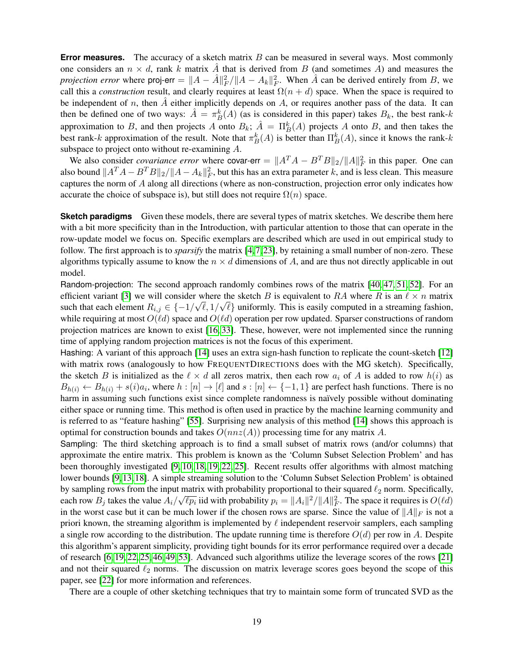**Error measures.** The accuracy of a sketch matrix B can be measured in several ways. Most commonly one considers an  $n \times d$ , rank k matrix  $\hat{A}$  that is derived from B (and sometimes A) and measures the *projection error* where proj-err  $= ||A - \hat{A}||_F^2 / ||A - A_k||_F^2$ . When  $\hat{A}$  can be derived entirely from B, we call this a *construction* result, and clearly requires at least  $\Omega(n + d)$  space. When the space is required to be independent of n, then  $\hat{A}$  either implicitly depends on A, or requires another pass of the data. It can then be defined one of two ways:  $\hat{A} = \pi_B^k(A)$  (as is considered in this paper) takes  $B_k$ , the best rank-k approximation to B, and then projects A onto  $B_k$ ;  $\hat{A} = \prod_{B}^{k}(A)$  projects A onto B, and then takes the best rank-k approximation of the result. Note that  $\pi_B^k(A)$  is better than  $\Pi_B^k(A)$ , since it knows the rank-k subspace to project onto without re-examining A.

We also consider *covariance error* where covar-err =  $||A^T A - B^T B||_2 / ||A||_F^2$  in this paper. One can also bound  $||A^T A - B^T B||_2 / ||A - A_k||_F^2$ , but this has an extra parameter k, and is less clean. This measure captures the norm of A along all directions (where as non-construction, projection error only indicates how accurate the choice of subspace is), but still does not require  $\Omega(n)$  space.

**Sketch paradigms** Given these models, there are several types of matrix sketches. We describe them here with a bit more specificity than in the Introduction, with particular attention to those that can operate in the row-update model we focus on. Specific exemplars are described which are used in out empirical study to follow. The first approach is to *sparsify* the matrix [\[4,](#page-24-0)[7,](#page-24-1)[23\]](#page-25-0), by retaining a small number of non-zero. These algorithms typically assume to know the  $n \times d$  dimensions of A, and are thus not directly applicable in out model.

Random-projection: The second approach randomly combines rows of the matrix [\[40,](#page-26-3) [47,](#page-27-2) [51,](#page-27-3) [52\]](#page-27-4). For an efficient variant [\[3\]](#page-24-7) we will consider where the sketch B is equivalent to RA where R is an  $\ell \times n$  matrix such that each element  $R_{i,j} \in \{-1/\sqrt{\ell}, 1/\sqrt{\ell}\}$  uniformly. This is easily computed in a streaming fashion, while requiring at most  $O(\ell d)$  space and  $O(\ell d)$  operation per row updated. Sparser constructions of random projection matrices are known to exist [\[16,](#page-25-12) [33\]](#page-26-15). These, however, were not implemented since the running time of applying random projection matrices is not the focus of this experiment.

Hashing: A variant of this approach [\[14\]](#page-25-1) uses an extra sign-hash function to replicate the count-sketch [\[12\]](#page-25-13) with matrix rows (analogously to how FREQUENTDIRECTIONS does with the MG sketch). Specifically, the sketch B is initialized as the  $\ell \times d$  all zeros matrix, then each row  $a_i$  of A is added to row  $h(i)$  as  $B_{h(i)} \leftarrow B_{h(i)} + s(i)a_i$ , where  $h : [n] \rightarrow [\ell]$  and  $s : [n] \leftarrow \{-1, 1\}$  are perfect hash functions. There is no harm in assuming such functions exist since complete randomness is naïvely possible without dominating either space or running time. This method is often used in practice by the machine learning community and is referred to as "feature hashing" [\[55\]](#page-27-9). Surprising new analysis of this method [\[14\]](#page-25-1) shows this approach is optimal for construction bounds and takes  $O(nnz(A))$  processing time for any matrix A.

Sampling: The third sketching approach is to find a small subset of matrix rows (and/or columns) that approximate the entire matrix. This problem is known as the 'Column Subset Selection Problem' and has been thoroughly investigated [\[9,](#page-24-2) [10,](#page-25-2) [18,](#page-25-3) [19,](#page-25-4) [22,](#page-25-5) [25\]](#page-25-6). Recent results offer algorithms with almost matching lower bounds [\[9,](#page-24-2)[13,](#page-25-7)[18\]](#page-25-3). A simple streaming solution to the 'Column Subset Selection Problem' is obtained by sampling rows from the input matrix with probability proportional to their squared  $\ell_2$  norm. Specifically, each row  $B_j$  takes the value  $A_i/\sqrt{\ell p_i}$  iid with probability  $p_i = ||A_i||^2/||A||_F^2$ . The space it requires is  $O(\ell d)$ in the worst case but it can be much lower if the chosen rows are sparse. Since the value of  $||A||_F$  is not a priori known, the streaming algorithm is implemented by  $\ell$  independent reservoir samplers, each sampling a single row according to the distribution. The update running time is therefore  $O(d)$  per row in A. Despite this algorithm's apparent simplicity, providing tight bounds for its error performance required over a decade of research [\[6,](#page-24-3) [19,](#page-25-4) [22,](#page-25-5) [25,](#page-25-6) [46,](#page-27-5) [49,](#page-27-6) [53\]](#page-27-7). Advanced such algorithms utilize the leverage scores of the rows [\[21\]](#page-25-8) and not their squared  $\ell_2$  norms. The discussion on matrix leverage scores goes beyond the scope of this paper, see [\[22\]](#page-25-5) for more information and references.

There are a couple of other sketching techniques that try to maintain some form of truncated SVD as the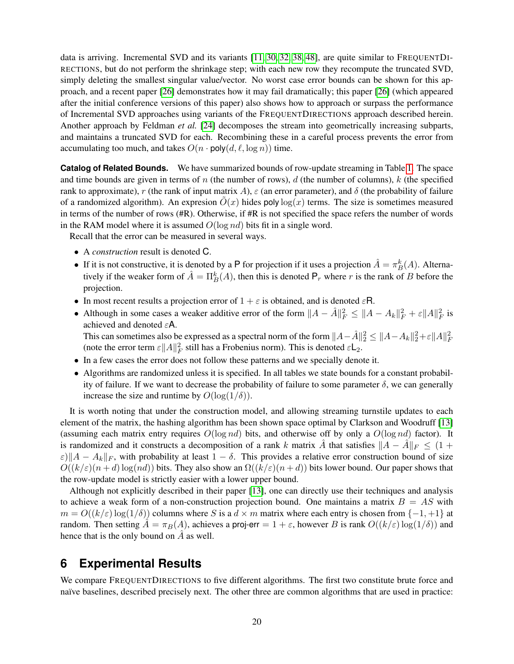data is arriving. Incremental SVD and its variants [\[11,](#page-25-14) [30,](#page-26-9) [32,](#page-26-16) [38,](#page-26-17) [48\]](#page-27-10), are quite similar to FREQUENTDI-RECTIONS, but do not perform the shrinkage step; with each new row they recompute the truncated SVD, simply deleting the smallest singular value/vector. No worst case error bounds can be shown for this approach, and a recent paper [\[26\]](#page-25-15) demonstrates how it may fail dramatically; this paper [\[26\]](#page-25-15) (which appeared after the initial conference versions of this paper) also shows how to approach or surpass the performance of Incremental SVD approaches using variants of the FREQUENTDIRECTIONS approach described herein. Another approach by Feldman *et al.* [\[24\]](#page-25-10) decomposes the stream into geometrically increasing subparts, and maintains a truncated SVD for each. Recombining these in a careful process prevents the error from accumulating too much, and takes  $O(n \cdot \text{poly}(d, \ell, \log n))$  time.

**Catalog of Related Bounds.** We have summarized bounds of row-update streaming in Table [1.](#page-20-0) The space and time bounds are given in terms of  $n$  (the number of rows),  $d$  (the number of columns),  $k$  (the specified rank to approximate), r (the rank of input matrix A),  $\varepsilon$  (an error parameter), and  $\delta$  (the probability of failure of a randomized algorithm). An expression  $\tilde{O}(x)$  hides poly log(x) terms. The size is sometimes measured in terms of the number of rows (#R). Otherwise, if #R is not specified the space refers the number of words in the RAM model where it is assumed  $O(\log nd)$  bits fit in a single word.

Recall that the error can be measured in several ways.

- A *construction* result is denoted C.
- If it is not constructive, it is denoted by a P for projection if it uses a projection  $\hat{A} = \pi_B^k(A)$ . Alternatively if the weaker form of  $\hat{A} = \prod_{B}^{k}(A)$ , then this is denoted  $P_r$  where r is the rank of B before the projection.
- In most recent results a projection error of  $1 + \varepsilon$  is obtained, and is denoted  $\varepsilon$ R.
- Although in some cases a weaker additive error of the form  $||A \hat{A}||_F^2 \le ||A A_k||_F^2 + \varepsilon ||A||_F^2$  is achieved and denoted εA.

This can sometimes also be expressed as a spectral norm of the form  $||A - \hat{A}||_2^2 \le ||A - A_k||_2^2 + \varepsilon ||A||_F^2$ (note the error term  $\varepsilon ||A||_F^2$  still has a Frobenius norm). This is denoted  $\varepsilon \mathsf{L}_2$ .

- In a few cases the error does not follow these patterns and we specially denote it.
- Algorithms are randomized unless it is specified. In all tables we state bounds for a constant probability of failure. If we want to decrease the probability of failure to some parameter  $\delta$ , we can generally increase the size and runtime by  $O(\log(1/\delta))$ .

It is worth noting that under the construction model, and allowing streaming turnstile updates to each element of the matrix, the hashing algorithm has been shown space optimal by Clarkson and Woodruff [\[13\]](#page-25-7) (assuming each matrix entry requires  $O(\log nd)$  bits, and otherwise off by only a  $O(\log nd)$  factor). It is randomized and it constructs a decomposition of a rank k matrix A that satisfies  $||A - A||_F \leq (1 +$  $\varepsilon$ ) $||A - A_k||_F$ , with probability at least  $1 - \delta$ . This provides a relative error construction bound of size  $O((k/\varepsilon)(n+d)\log(nd))$  bits. They also show an  $\Omega((k/\varepsilon)(n+d))$  bits lower bound. Our paper shows that the row-update model is strictly easier with a lower upper bound.

Although not explicitly described in their paper [\[13\]](#page-25-7), one can directly use their techniques and analysis to achieve a weak form of a non-construction projection bound. One maintains a matrix  $B = AS$  with  $m = O((k/\varepsilon) \log(1/\delta))$  columns where S is a  $d \times m$  matrix where each entry is chosen from  $\{-1, +1\}$  at random. Then setting  $\tilde{A} = \pi_B(A)$ , achieves a proj-err  $= 1 + \varepsilon$ , however B is rank  $O((k/\varepsilon) \log(1/\delta))$  and hence that is the only bound on  $\ddot{A}$  as well.

# **6 Experimental Results**

We compare FREQUENTDIRECTIONS to five different algorithms. The first two constitute brute force and naïve baselines, described precisely next. The other three are common algorithms that are used in practice: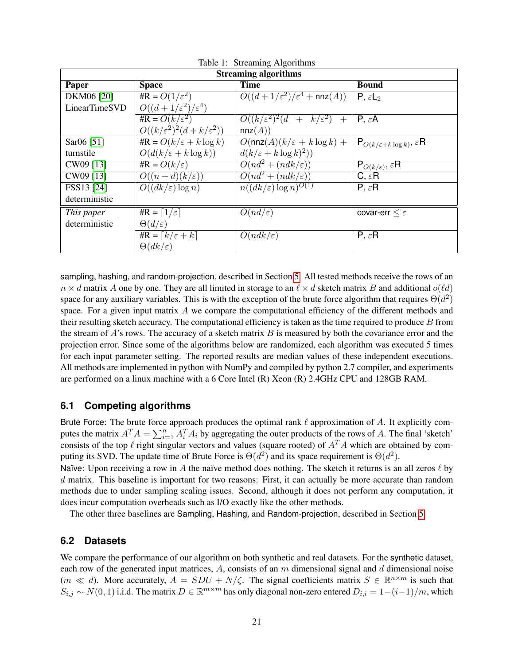| rable 1. Streaming Argontaniis |                                             |                                                                 |                                                  |  |
|--------------------------------|---------------------------------------------|-----------------------------------------------------------------|--------------------------------------------------|--|
| <b>Streaming algorithms</b>    |                                             |                                                                 |                                                  |  |
| Paper                          | <b>Space</b>                                | <b>Time</b>                                                     | <b>Bound</b>                                     |  |
| DKM06 [20]                     | #R = $O(1/\varepsilon^2)$                   | $O((d+1/\varepsilon^2)/\varepsilon^4 + \text{nnz}(A))$          | $P, \varepsilon L_2$                             |  |
| LinearTimeSVD                  | $O((d+1/\varepsilon^2)/\varepsilon^4)$      |                                                                 |                                                  |  |
|                                | #R = $O(k/\varepsilon^2)$                   | $O((k/\varepsilon^2)^2(d + k/\varepsilon^2) +$                  | $P, \varepsilon A$                               |  |
|                                | $O((k/\varepsilon^2)^2(d+k/\varepsilon^2))$ | nnz(A))                                                         |                                                  |  |
| Sar06 [51]                     | $\#R = O(k/\varepsilon + k \log k)$         | $\overline{O(\text{nnz}(A)(k/\varepsilon + k \log k) + \cdots}$ | $P_{O(k/\varepsilon + k \log k)}, \varepsilon R$ |  |
| turnstile                      | $O(d(k/\varepsilon + k \log k))$            | $d(k/\varepsilon + k \log k)^2)$                                |                                                  |  |
| CW09 [13]                      | #R = $O(k/\varepsilon)$                     | $O(nd^2 + (ndk/\varepsilon))$                                   | $P_{O(k/\varepsilon)}$ , $\varepsilon$ R         |  |
| CW09 [13]                      | $O((n+d)(k/\varepsilon))$                   | $O(nd^2 + (ndk/\varepsilon))$                                   | $C, \varepsilon R$                               |  |
| FSS13 [24]                     | $O((dk/\varepsilon) \log n)$                | $n((dk/\varepsilon)\log n)^{O(1)}$                              | $P, \varepsilon R$                               |  |
| deterministic                  |                                             |                                                                 |                                                  |  |
| This paper                     | #R = $\lceil 1/\varepsilon \rceil$          | $O(nd/\varepsilon)$                                             | covar-err $\leq \varepsilon$                     |  |
| deterministic                  | $\Theta(d/\varepsilon)$                     |                                                                 |                                                  |  |
|                                | #R = $\lceil k/\varepsilon + k \rceil$      | $O(ndk/\varepsilon)$                                            | $P, \varepsilon R$                               |  |
|                                | $\Theta(dk/\varepsilon)$                    |                                                                 |                                                  |  |

<span id="page-20-0"></span>Table 1: Streaming Algorithms

sampling, hashing, and random-projection, described in Section [5.](#page-17-2) All tested methods receive the rows of an  $n \times d$  matrix A one by one. They are all limited in storage to an  $\ell \times d$  sketch matrix B and additional  $o(\ell d)$ space for any auxiliary variables. This is with the exception of the brute force algorithm that requires  $\Theta(d^2)$ space. For a given input matrix  $\vec{A}$  we compare the computational efficiency of the different methods and their resulting sketch accuracy. The computational efficiency is taken as the time required to produce  $B$  from the stream of A's rows. The accuracy of a sketch matrix  $B$  is measured by both the covariance error and the projection error. Since some of the algorithms below are randomized, each algorithm was executed 5 times for each input parameter setting. The reported results are median values of these independent executions. All methods are implemented in python with NumPy and compiled by python 2.7 compiler, and experiments are performed on a linux machine with a 6 Core Intel (R) Xeon (R) 2.4GHz CPU and 128GB RAM.

### **6.1 Competing algorithms**

Brute Force: The brute force approach produces the optimal rank  $\ell$  approximation of A. It explicitly computes the matrix  $A^T A = \sum_{i=1}^n A_i^T A_i$  by aggregating the outer products of the rows of A. The final 'sketch' consists of the top  $\ell$  right singular vectors and values (square rooted) of  $A<sup>T</sup>A$  which are obtained by computing its SVD. The update time of Brute Force is  $\Theta(d^2)$  and its space requirement is  $\Theta(d^2)$ .

Naïve: Upon receiving a row in A the naïve method does nothing. The sketch it returns is an all zeros  $\ell$  by d matrix. This baseline is important for two reasons: First, it can actually be more accurate than random methods due to under sampling scaling issues. Second, although it does not perform any computation, it does incur computation overheads such as I/O exactly like the other methods.

The other three baselines are Sampling, Hashing, and Random-projection, described in Section [5.](#page-17-2)

### **6.2 Datasets**

We compare the performance of our algorithm on both synthetic and real datasets. For the synthetic dataset, each row of the generated input matrices,  $A$ , consists of an  $m$  dimensional signal and  $d$  dimensional noise  $(m \ll d)$ . More accurately,  $A = SDU + N/\zeta$ . The signal coefficients matrix  $S \in \mathbb{R}^{n \times m}$  is such that  $S_{i,j} \sim N(0, 1)$  i.i.d. The matrix  $D \in \mathbb{R}^{m \times m}$  has only diagonal non-zero entered  $D_{i,i} = 1-(i-1)/m$ , which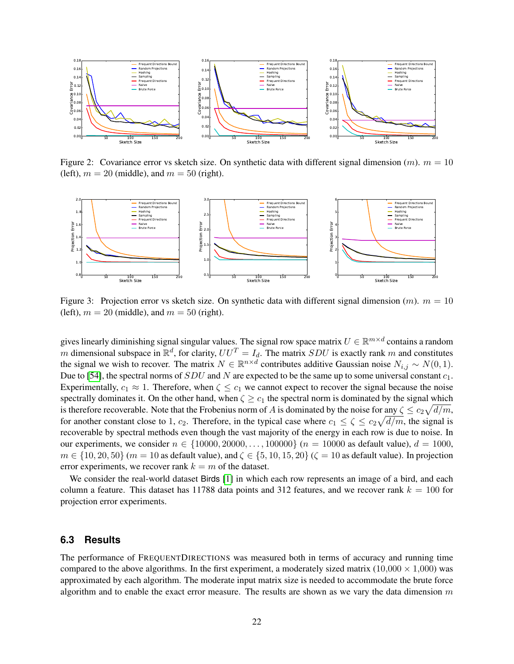

<span id="page-21-0"></span>Figure 2: Covariance error vs sketch size. On synthetic data with different signal dimension  $(m)$ .  $m = 10$ (left),  $m = 20$  (middle), and  $m = 50$  (right).



<span id="page-21-1"></span>Figure 3: Projection error vs sketch size. On synthetic data with different signal dimension  $(m)$ .  $m = 10$ (left),  $m = 20$  (middle), and  $m = 50$  (right).

gives linearly diminishing signal singular values. The signal row space matrix  $U \in \mathbb{R}^{m \times d}$  contains a random m dimensional subspace in  $\mathbb{R}^d$ , for clarity,  $UU^T = I_d$ . The matrix SDU is exactly rank m and constitutes the signal we wish to recover. The matrix  $N \in \mathbb{R}^{n \times d}$  contributes additive Gaussian noise  $N_{i,j} \sim N(0, 1)$ . Due to [\[54\]](#page-27-11), the spectral norms of  $SDU$  and N are expected to be the same up to some universal constant  $c_1$ . Experimentally,  $c_1 \approx 1$ . Therefore, when  $\zeta \leq c_1$  we cannot expect to recover the signal because the noise spectrally dominates it. On the other hand, when  $\zeta \geq c_1$  the spectral norm is dominated by the signal which is therefore recoverable. Note that the Frobenius norm of A is dominated by the noise for  $\frac{any \zeta}{\sqrt{d}} \leq c_2 \sqrt{d/m}$ , for another constant close to 1,  $c_2$ . Therefore, in the typical case where  $c_1 \le \zeta \le c_2 \sqrt{d/m}$ , the signal is recoverable by spectral methods even though the vast majority of the energy in each row is due to noise. In our experiments, we consider  $n \in \{10000, 20000, \ldots, 100000\}$  ( $n = 10000$  as default value),  $d = 1000$ ,  $m \in \{10, 20, 50\}$  ( $m = 10$  as default value), and  $\zeta \in \{5, 10, 15, 20\}$  ( $\zeta = 10$  as default value). In projection error experiments, we recover rank  $k = m$  of the dataset.

We consider the real-world dataset Birds [\[1\]](#page-24-8) in which each row represents an image of a bird, and each column a feature. This dataset has 11788 data points and 312 features, and we recover rank  $k = 100$  for projection error experiments.

### **6.3 Results**

The performance of FREQUENTDIRECTIONS was measured both in terms of accuracy and running time compared to the above algorithms. In the first experiment, a moderately sized matrix  $(10,000 \times 1,000)$  was approximated by each algorithm. The moderate input matrix size is needed to accommodate the brute force algorithm and to enable the exact error measure. The results are shown as we vary the data dimension  $m$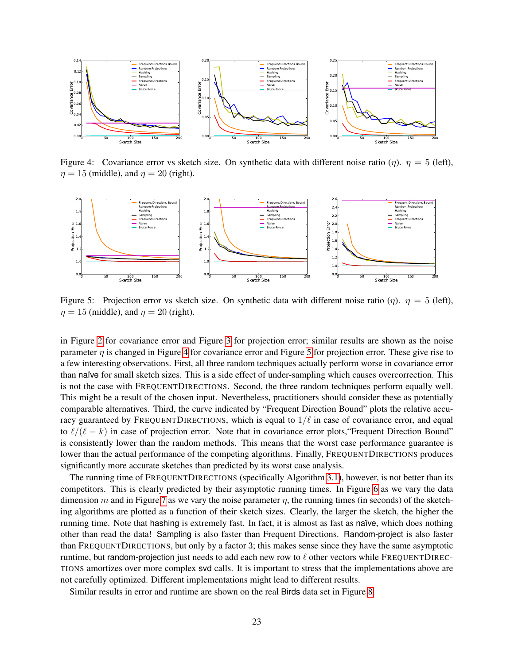

<span id="page-22-0"></span>Figure 4: Covariance error vs sketch size. On synthetic data with different noise ratio (η).  $\eta = 5$  (left),  $\eta = 15$  (middle), and  $\eta = 20$  (right).



<span id="page-22-1"></span>Figure 5: Projection error vs sketch size. On synthetic data with different noise ratio  $(\eta)$ .  $\eta = 5$  (left),  $\eta = 15$  (middle), and  $\eta = 20$  (right).

in Figure [2](#page-21-0) for covariance error and Figure [3](#page-21-1) for projection error; similar results are shown as the noise parameter  $\eta$  is changed in Figure [4](#page-22-0) for covariance error and Figure [5](#page-22-1) for projection error. These give rise to a few interesting observations. First, all three random techniques actually perform worse in covariance error than naïve for small sketch sizes. This is a side effect of under-sampling which causes overcorrection. This is not the case with FREQUENTDIRECTIONS. Second, the three random techniques perform equally well. This might be a result of the chosen input. Nevertheless, practitioners should consider these as potentially comparable alternatives. Third, the curve indicated by "Frequent Direction Bound" plots the relative accuracy guaranteed by FREQUENTDIRECTIONS, which is equal to  $1/\ell$  in case of covariance error, and equal to  $\ell/(\ell - k)$  in case of projection error. Note that in covariance error plots, "Frequent Direction Bound" is consistently lower than the random methods. This means that the worst case performance guarantee is lower than the actual performance of the competing algorithms. Finally, FREQUENTDIRECTIONS produces significantly more accurate sketches than predicted by its worst case analysis.

The running time of FREQUENTDIRECTIONS (specifically Algorithm [3.1\)](#page-6-0), however, is not better than its competitors. This is clearly predicted by their asymptotic running times. In Figure [6](#page-23-0) as we vary the data dimension m and in Figure [7](#page-23-1) as we vary the noise parameter  $\eta$ , the running times (in seconds) of the sketching algorithms are plotted as a function of their sketch sizes. Clearly, the larger the sketch, the higher the running time. Note that hashing is extremely fast. In fact, it is almost as fast as na¨ıve, which does nothing other than read the data! Sampling is also faster than Frequent Directions. Random-project is also faster than FREQUENTDIRECTIONS, but only by a factor 3; this makes sense since they have the same asymptotic runtime, but random-projection just needs to add each new row to  $\ell$  other vectors while FREQUENTDIREC-TIONS amortizes over more complex svd calls. It is important to stress that the implementations above are not carefully optimized. Different implementations might lead to different results.

Similar results in error and runtime are shown on the real Birds data set in Figure [8.](#page-23-2)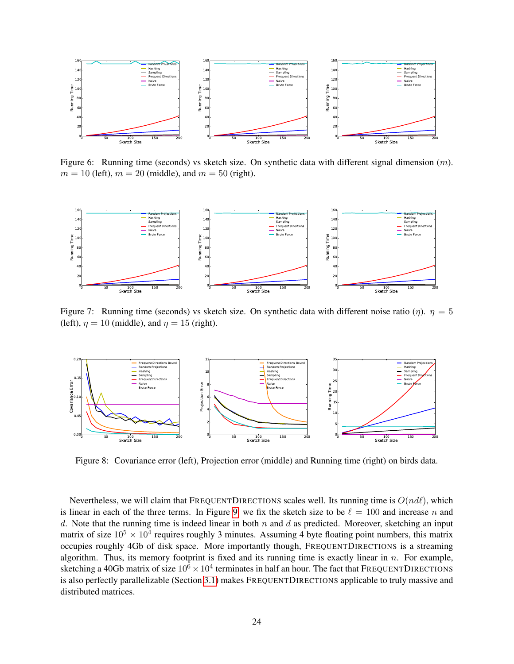

<span id="page-23-0"></span>Figure 6: Running time (seconds) vs sketch size. On synthetic data with different signal dimension  $(m)$ .  $m = 10$  (left),  $m = 20$  (middle), and  $m = 50$  (right).



<span id="page-23-1"></span>Figure 7: Running time (seconds) vs sketch size. On synthetic data with different noise ratio ( $\eta$ ).  $\eta = 5$ (left),  $\eta = 10$  (middle), and  $\eta = 15$  (right).



<span id="page-23-2"></span>Figure 8: Covariance error (left), Projection error (middle) and Running time (right) on birds data.

Nevertheless, we will claim that FREQUENTDIRECTIONS scales well. Its running time is  $O(nd\ell)$ , which is linear in each of the three terms. In Figure [9,](#page-24-9) we fix the sketch size to be  $\ell = 100$  and increase n and d. Note that the running time is indeed linear in both  $n$  and  $d$  as predicted. Moreover, sketching an input matrix of size  $10^5 \times 10^4$  requires roughly 3 minutes. Assuming 4 byte floating point numbers, this matrix occupies roughly 4Gb of disk space. More importantly though, FREQUENTDIRECTIONS is a streaming algorithm. Thus, its memory footprint is fixed and its running time is exactly linear in  $n$ . For example, sketching a 40Gb matrix of size  $10^6 \times 10^4$  terminates in half an hour. The fact that FREQUENTDIRECTIONS is also perfectly parallelizable (Section [3.1\)](#page-7-0) makes FREQUENTDIRECTIONS applicable to truly massive and distributed matrices.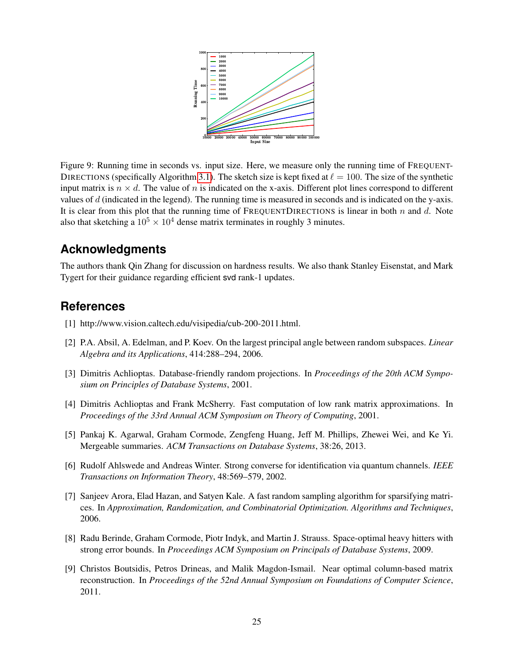

<span id="page-24-9"></span>Figure 9: Running time in seconds vs. input size. Here, we measure only the running time of FREQUENT-DIRECTIONS (specifically Algorithm [3.1\)](#page-6-0). The sketch size is kept fixed at  $\ell = 100$ . The size of the synthetic input matrix is  $n \times d$ . The value of n is indicated on the x-axis. Different plot lines correspond to different values of  $d$  (indicated in the legend). The running time is measured in seconds and is indicated on the y-axis. It is clear from this plot that the running time of FREQUENTDIRECTIONS is linear in both  $n$  and  $d$ . Note also that sketching a  $10^5 \times 10^4$  dense matrix terminates in roughly 3 minutes.

## **Acknowledgments**

The authors thank Qin Zhang for discussion on hardness results. We also thank Stanley Eisenstat, and Mark Tygert for their guidance regarding efficient svd rank-1 updates.

## <span id="page-24-8"></span>**References**

- [1] http://www.vision.caltech.edu/visipedia/cub-200-2011.html.
- <span id="page-24-6"></span>[2] P.A. Absil, A. Edelman, and P. Koev. On the largest principal angle between random subspaces. *Linear Algebra and its Applications*, 414:288–294, 2006.
- <span id="page-24-7"></span>[3] Dimitris Achlioptas. Database-friendly random projections. In *Proceedings of the 20th ACM Symposium on Principles of Database Systems*, 2001.
- <span id="page-24-0"></span>[4] Dimitris Achlioptas and Frank McSherry. Fast computation of low rank matrix approximations. In *Proceedings of the 33rd Annual ACM Symposium on Theory of Computing*, 2001.
- <span id="page-24-5"></span>[5] Pankaj K. Agarwal, Graham Cormode, Zengfeng Huang, Jeff M. Phillips, Zhewei Wei, and Ke Yi. Mergeable summaries. *ACM Transactions on Database Systems*, 38:26, 2013.
- <span id="page-24-3"></span>[6] Rudolf Ahlswede and Andreas Winter. Strong converse for identification via quantum channels. *IEEE Transactions on Information Theory*, 48:569–579, 2002.
- <span id="page-24-1"></span>[7] Sanjeev Arora, Elad Hazan, and Satyen Kale. A fast random sampling algorithm for sparsifying matrices. In *Approximation, Randomization, and Combinatorial Optimization. Algorithms and Techniques*, 2006.
- <span id="page-24-4"></span>[8] Radu Berinde, Graham Cormode, Piotr Indyk, and Martin J. Strauss. Space-optimal heavy hitters with strong error bounds. In *Proceedings ACM Symposium on Principals of Database Systems*, 2009.
- <span id="page-24-2"></span>[9] Christos Boutsidis, Petros Drineas, and Malik Magdon-Ismail. Near optimal column-based matrix reconstruction. In *Proceedings of the 52nd Annual Symposium on Foundations of Computer Science*, 2011.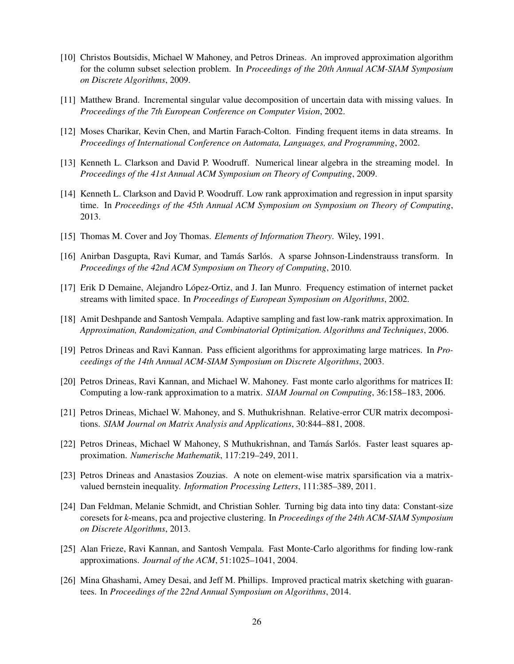- <span id="page-25-2"></span>[10] Christos Boutsidis, Michael W Mahoney, and Petros Drineas. An improved approximation algorithm for the column subset selection problem. In *Proceedings of the 20th Annual ACM-SIAM Symposium on Discrete Algorithms*, 2009.
- <span id="page-25-14"></span>[11] Matthew Brand. Incremental singular value decomposition of uncertain data with missing values. In *Proceedings of the 7th European Conference on Computer Vision*, 2002.
- <span id="page-25-13"></span>[12] Moses Charikar, Kevin Chen, and Martin Farach-Colton. Finding frequent items in data streams. In *Proceedings of International Conference on Automata, Languages, and Programming*, 2002.
- <span id="page-25-7"></span>[13] Kenneth L. Clarkson and David P. Woodruff. Numerical linear algebra in the streaming model. In *Proceedings of the 41st Annual ACM Symposium on Theory of Computing*, 2009.
- <span id="page-25-1"></span>[14] Kenneth L. Clarkson and David P. Woodruff. Low rank approximation and regression in input sparsity time. In *Proceedings of the 45th Annual ACM Symposium on Symposium on Theory of Computing*, 2013.
- <span id="page-25-11"></span>[15] Thomas M. Cover and Joy Thomas. *Elements of Information Theory*. Wiley, 1991.
- <span id="page-25-12"></span>[16] Anirban Dasgupta, Ravi Kumar, and Tamás Sarlós. A sparse Johnson-Lindenstrauss transform. In *Proceedings of the 42nd ACM Symposium on Theory of Computing*, 2010.
- <span id="page-25-9"></span>[17] Erik D Demaine, Alejandro Lopez-Ortiz, and J. Ian Munro. Frequency estimation of internet packet ´ streams with limited space. In *Proceedings of European Symposium on Algorithms*, 2002.
- <span id="page-25-3"></span>[18] Amit Deshpande and Santosh Vempala. Adaptive sampling and fast low-rank matrix approximation. In *Approximation, Randomization, and Combinatorial Optimization. Algorithms and Techniques*, 2006.
- <span id="page-25-4"></span>[19] Petros Drineas and Ravi Kannan. Pass efficient algorithms for approximating large matrices. In *Proceedings of the 14th Annual ACM-SIAM Symposium on Discrete Algorithms*, 2003.
- <span id="page-25-16"></span>[20] Petros Drineas, Ravi Kannan, and Michael W. Mahoney. Fast monte carlo algorithms for matrices II: Computing a low-rank approximation to a matrix. *SIAM Journal on Computing*, 36:158–183, 2006.
- <span id="page-25-8"></span>[21] Petros Drineas, Michael W. Mahoney, and S. Muthukrishnan. Relative-error CUR matrix decompositions. *SIAM Journal on Matrix Analysis and Applications*, 30:844–881, 2008.
- <span id="page-25-5"></span>[22] Petros Drineas, Michael W Mahoney, S Muthukrishnan, and Tamás Sarlós. Faster least squares approximation. *Numerische Mathematik*, 117:219–249, 2011.
- <span id="page-25-0"></span>[23] Petros Drineas and Anastasios Zouzias. A note on element-wise matrix sparsification via a matrixvalued bernstein inequality. *Information Processing Letters*, 111:385–389, 2011.
- <span id="page-25-10"></span>[24] Dan Feldman, Melanie Schmidt, and Christian Sohler. Turning big data into tiny data: Constant-size coresets for *k*-means, pca and projective clustering. In *Proceedings of the 24th ACM-SIAM Symposium on Discrete Algorithms*, 2013.
- <span id="page-25-6"></span>[25] Alan Frieze, Ravi Kannan, and Santosh Vempala. Fast Monte-Carlo algorithms for finding low-rank approximations. *Journal of the ACM*, 51:1025–1041, 2004.
- <span id="page-25-15"></span>[26] Mina Ghashami, Amey Desai, and Jeff M. Phillips. Improved practical matrix sketching with guarantees. In *Proceedings of the 22nd Annual Symposium on Algorithms*, 2014.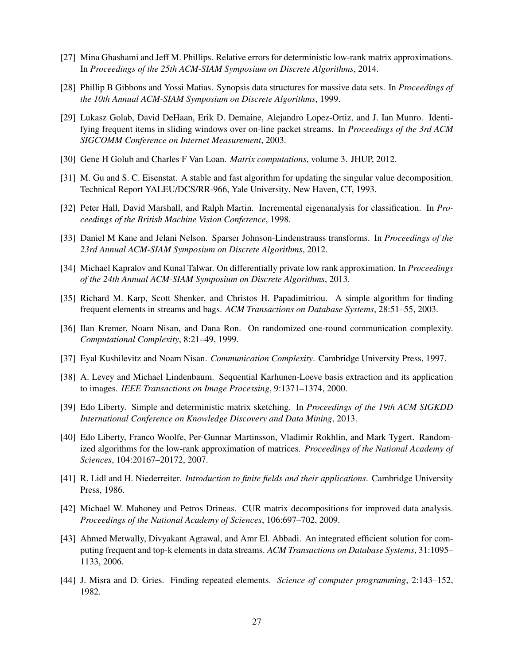- <span id="page-26-2"></span>[27] Mina Ghashami and Jeff M. Phillips. Relative errors for deterministic low-rank matrix approximations. In *Proceedings of the 25th ACM-SIAM Symposium on Discrete Algorithms*, 2014.
- <span id="page-26-0"></span>[28] Phillip B Gibbons and Yossi Matias. Synopsis data structures for massive data sets. In *Proceedings of the 10th Annual ACM-SIAM Symposium on Discrete Algorithms*, 1999.
- <span id="page-26-5"></span>[29] Lukasz Golab, David DeHaan, Erik D. Demaine, Alejandro Lopez-Ortiz, and J. Ian Munro. Identifying frequent items in sliding windows over on-line packet streams. In *Proceedings of the 3rd ACM SIGCOMM Conference on Internet Measurement*, 2003.
- <span id="page-26-9"></span>[30] Gene H Golub and Charles F Van Loan. *Matrix computations*, volume 3. JHUP, 2012.
- <span id="page-26-10"></span>[31] M. Gu and S. C. Eisenstat. A stable and fast algorithm for updating the singular value decomposition. Technical Report YALEU/DCS/RR-966, Yale University, New Haven, CT, 1993.
- <span id="page-26-16"></span>[32] Peter Hall, David Marshall, and Ralph Martin. Incremental eigenanalysis for classification. In *Proceedings of the British Machine Vision Conference*, 1998.
- <span id="page-26-15"></span>[33] Daniel M Kane and Jelani Nelson. Sparser Johnson-Lindenstrauss transforms. In *Proceedings of the 23rd Annual ACM-SIAM Symposium on Discrete Algorithms*, 2012.
- <span id="page-26-11"></span>[34] Michael Kapralov and Kunal Talwar. On differentially private low rank approximation. In *Proceedings of the 24th Annual ACM-SIAM Symposium on Discrete Algorithms*, 2013.
- <span id="page-26-6"></span>[35] Richard M. Karp, Scott Shenker, and Christos H. Papadimitriou. A simple algorithm for finding frequent elements in streams and bags. *ACM Transactions on Database Systems*, 28:51–55, 2003.
- <span id="page-26-13"></span>[36] Ilan Kremer, Noam Nisan, and Dana Ron. On randomized one-round communication complexity. *Computational Complexity*, 8:21–49, 1999.
- <span id="page-26-14"></span>[37] Eyal Kushilevitz and Noam Nisan. *Communication Complexity*. Cambridge University Press, 1997.
- <span id="page-26-17"></span>[38] A. Levey and Michael Lindenbaum. Sequential Karhunen-Loeve basis extraction and its application to images. *IEEE Transactions on Image Processing*, 9:1371–1374, 2000.
- <span id="page-26-1"></span>[39] Edo Liberty. Simple and deterministic matrix sketching. In *Proceedings of the 19th ACM SIGKDD International Conference on Knowledge Discovery and Data Mining*, 2013.
- <span id="page-26-3"></span>[40] Edo Liberty, Franco Woolfe, Per-Gunnar Martinsson, Vladimir Rokhlin, and Mark Tygert. Randomized algorithms for the low-rank approximation of matrices. *Proceedings of the National Academy of Sciences*, 104:20167–20172, 2007.
- <span id="page-26-12"></span>[41] R. Lidl and H. Niederreiter. *Introduction to finite fields and their applications*. Cambridge University Press, 1986.
- <span id="page-26-8"></span>[42] Michael W. Mahoney and Petros Drineas. CUR matrix decompositions for improved data analysis. *Proceedings of the National Academy of Sciences*, 106:697–702, 2009.
- <span id="page-26-7"></span>[43] Ahmed Metwally, Divyakant Agrawal, and Amr El. Abbadi. An integrated efficient solution for computing frequent and top-k elements in data streams. *ACM Transactions on Database Systems*, 31:1095– 1133, 2006.
- <span id="page-26-4"></span>[44] J. Misra and D. Gries. Finding repeated elements. *Science of computer programming*, 2:143–152, 1982.